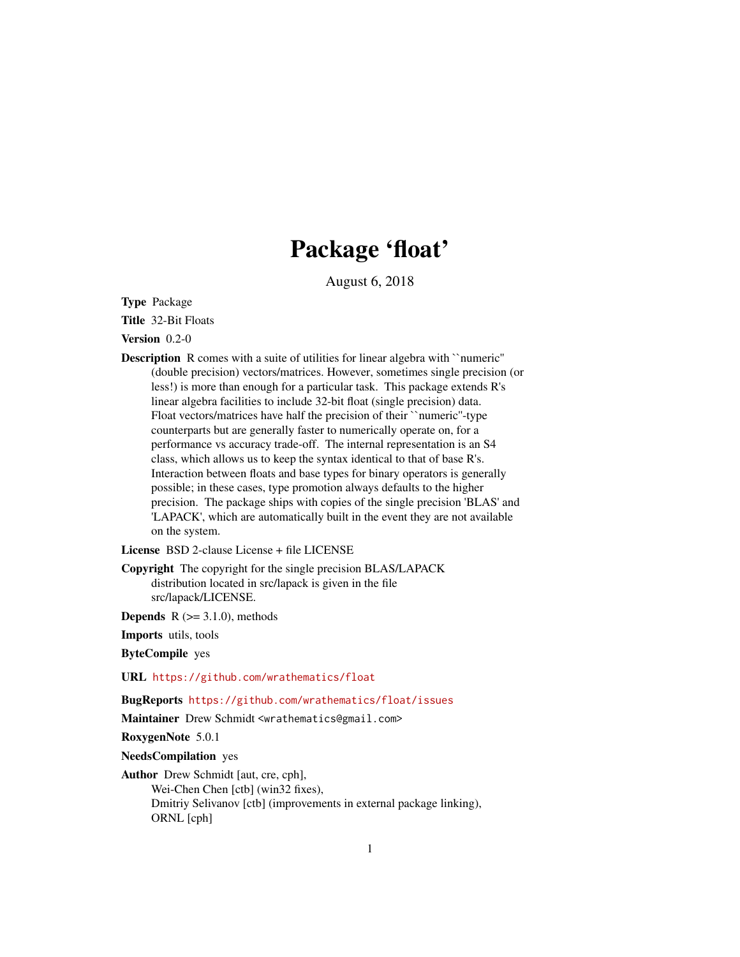# Package 'float'

August 6, 2018

Type Package

Title 32-Bit Floats

Version 0.2-0

Description R comes with a suite of utilities for linear algebra with ``numeric'' (double precision) vectors/matrices. However, sometimes single precision (or less!) is more than enough for a particular task. This package extends R's linear algebra facilities to include 32-bit float (single precision) data. Float vectors/matrices have half the precision of their ``numeric''-type counterparts but are generally faster to numerically operate on, for a performance vs accuracy trade-off. The internal representation is an S4 class, which allows us to keep the syntax identical to that of base R's. Interaction between floats and base types for binary operators is generally possible; in these cases, type promotion always defaults to the higher precision. The package ships with copies of the single precision 'BLAS' and 'LAPACK', which are automatically built in the event they are not available on the system.

License BSD 2-clause License + file LICENSE

Copyright The copyright for the single precision BLAS/LAPACK distribution located in src/lapack is given in the file src/lapack/LICENSE.

**Depends** R  $(>= 3.1.0)$ , methods

Imports utils, tools

ByteCompile yes

URL <https://github.com/wrathematics/float>

BugReports <https://github.com/wrathematics/float/issues>

Maintainer Drew Schmidt <wrathematics@gmail.com>

RoxygenNote 5.0.1

NeedsCompilation yes

Author Drew Schmidt [aut, cre, cph], Wei-Chen Chen [ctb] (win32 fixes), Dmitriy Selivanov [ctb] (improvements in external package linking), ORNL [cph]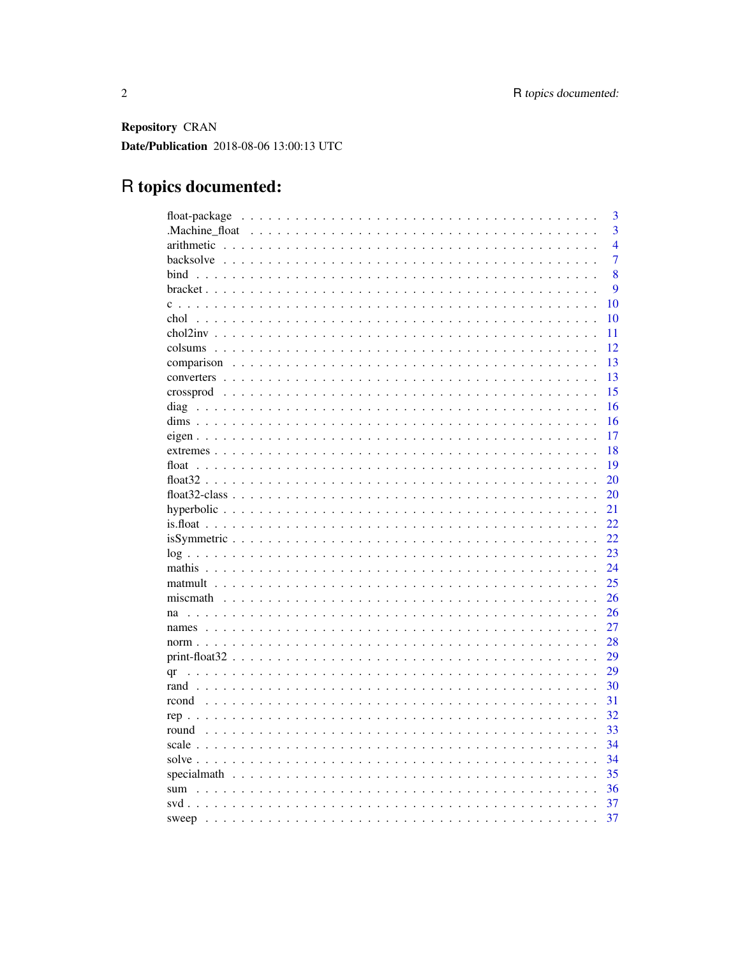Repository CRAN Date/Publication 2018-08-06 13:00:13 UTC

# R topics documented:

| 3              |
|----------------|
| $\overline{3}$ |
| $\overline{4}$ |
| $\overline{7}$ |
| 8              |
| 9              |
| 10             |
| 10             |
| 11             |
| 12             |
| 13             |
| 13             |
| 15             |
| 16             |
| 16             |
| 17             |
| 18             |
| 19             |
| 20             |
| 20             |
| 21             |
| 22             |
| 22             |
| 23             |
| 24             |
| 25             |
| 26             |
| 26             |
| 27             |
| 28             |
| 29             |
| 29<br>qr       |
| 30             |
| 31             |
| 32             |
| 33             |
| 34             |
| 34             |
| 35             |
| 36             |
| 37             |
| 37             |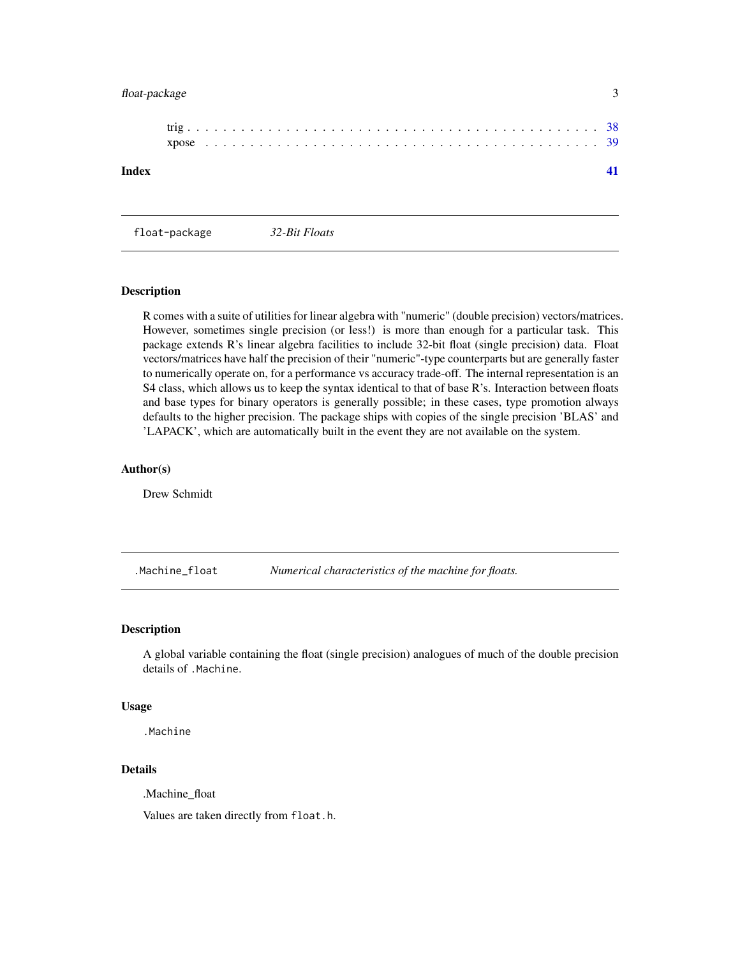# <span id="page-2-0"></span>float-package 3

| Index |  |  |  |  |  |  |  |  |  |  |  |  |  |  |  |  |  |  |  |  |  |  |  |
|-------|--|--|--|--|--|--|--|--|--|--|--|--|--|--|--|--|--|--|--|--|--|--|--|
|       |  |  |  |  |  |  |  |  |  |  |  |  |  |  |  |  |  |  |  |  |  |  |  |

float-package *32-Bit Floats*

#### Description

R comes with a suite of utilities for linear algebra with "numeric" (double precision) vectors/matrices. However, sometimes single precision (or less!) is more than enough for a particular task. This package extends R's linear algebra facilities to include 32-bit float (single precision) data. Float vectors/matrices have half the precision of their "numeric"-type counterparts but are generally faster to numerically operate on, for a performance vs accuracy trade-off. The internal representation is an S4 class, which allows us to keep the syntax identical to that of base R's. Interaction between floats and base types for binary operators is generally possible; in these cases, type promotion always defaults to the higher precision. The package ships with copies of the single precision 'BLAS' and 'LAPACK', which are automatically built in the event they are not available on the system.

#### Author(s)

Drew Schmidt

.Machine\_float *Numerical characteristics of the machine for floats.*

#### Description

A global variable containing the float (single precision) analogues of much of the double precision details of .Machine.

#### Usage

.Machine

#### Details

.Machine\_float

Values are taken directly from float.h.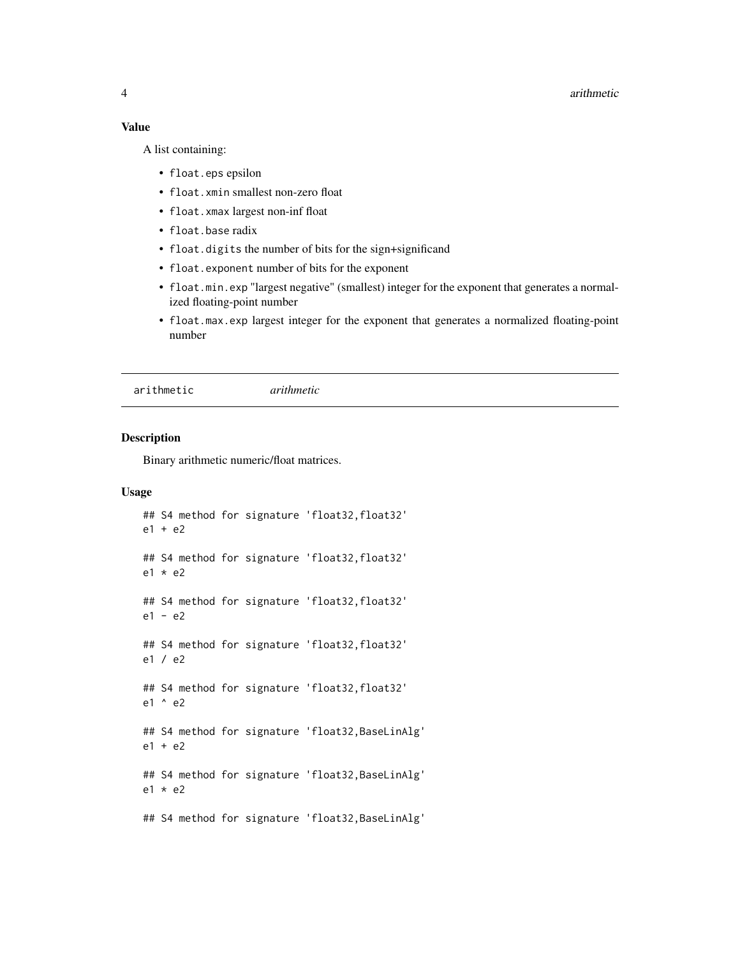#### 4 arithmetic contract of the contract of the contract of the contract of the contract of the contract of the contract of the contract of the contract of the contract of the contract of the contract of the contract of the c

#### Value

A list containing:

- float.eps epsilon
- float.xmin smallest non-zero float
- float.xmax largest non-inf float
- float.base radix
- float.digits the number of bits for the sign+significand
- float.exponent number of bits for the exponent
- float.min.exp "largest negative" (smallest) integer for the exponent that generates a normalized floating-point number
- float.max.exp largest integer for the exponent that generates a normalized floating-point number

arithmetic *arithmetic*

# Description

Binary arithmetic numeric/float matrices.

```
## S4 method for signature 'float32, float32'
e1 + e2
## S4 method for signature 'float32, float32'
e1 * e2
## S4 method for signature 'float32, float32'
e1 - e2
## S4 method for signature 'float32, float32'
e1 / e2
## S4 method for signature 'float32, float32'
e1 ^ e2
## S4 method for signature 'float32,BaseLinAlg'
e1 + e2
## S4 method for signature 'float32,BaseLinAlg'
e1 * e2
## S4 method for signature 'float32,BaseLinAlg'
```
<span id="page-3-0"></span>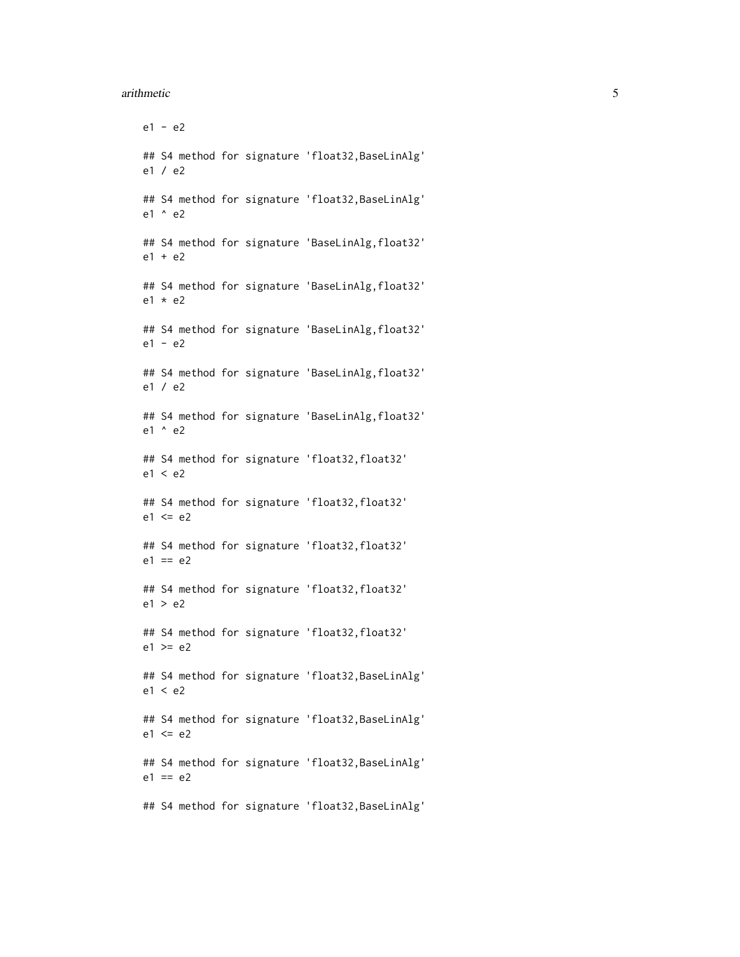#### arithmetic 5

e1 - e2 ## S4 method for signature 'float32, BaseLinAlg' e1 / e2 ## S4 method for signature 'float32, BaseLinAlg' e1 ^ e2 ## S4 method for signature 'BaseLinAlg,float32' e1 + e2 ## S4 method for signature 'BaseLinAlg, float32' e1 \* e2 ## S4 method for signature 'BaseLinAlg,float32' e1 - e2 ## S4 method for signature 'BaseLinAlg, float32' e1 / e2 ## S4 method for signature 'BaseLinAlg,float32' e1 ^ e2 ## S4 method for signature 'float32, float32' e1 < e2 ## S4 method for signature 'float32, float32'  $e1 \leq e2$ ## S4 method for signature 'float32, float32'  $e1 == e2$ ## S4 method for signature 'float32, float32' e1 > e2 ## S4 method for signature 'float32, float32'  $e1$  >=  $e2$ ## S4 method for signature 'float32, BaseLinAlg' e1 < e2 ## S4 method for signature 'float32, BaseLinAlg'  $e1 \leq e2$ ## S4 method for signature 'float32,BaseLinAlg'  $e1 == e2$ ## S4 method for signature 'float32,BaseLinAlg'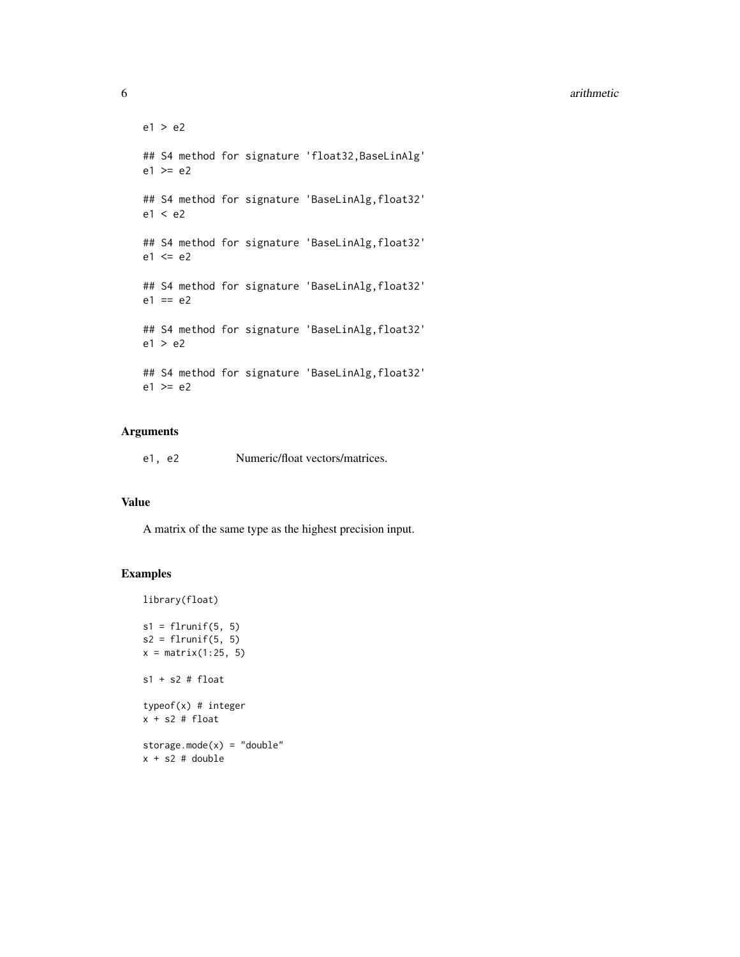#### 6 arithmetic contract of the contract of the contract of the contract of the contract of the contract of the contract of the contract of the contract of the contract of the contract of the contract of the contract of the c

```
e1 > e2
## S4 method for signature 'float32,BaseLinAlg'
e1 >= e2## S4 method for signature 'BaseLinAlg, float32'
e1 < e2
## S4 method for signature 'BaseLinAlg,float32'
e1 \leq e2
## S4 method for signature 'BaseLinAlg,float32'
e1 == e2## S4 method for signature 'BaseLinAlg,float32'
e1 > e2
## S4 method for signature 'BaseLinAlg, float32'
e1 >= e2
```
# Arguments

e1, e2 Numeric/float vectors/matrices.

#### Value

A matrix of the same type as the highest precision input.

#### Examples

library(float)

```
s1 = flrunif(5, 5)s2 = flrunif(5, 5)x = matrix(1:25, 5)s1 + s2 # float
typeof(x) # integer
x + s2 # floatstorage.mode(x) = "double"x + s2 # double
```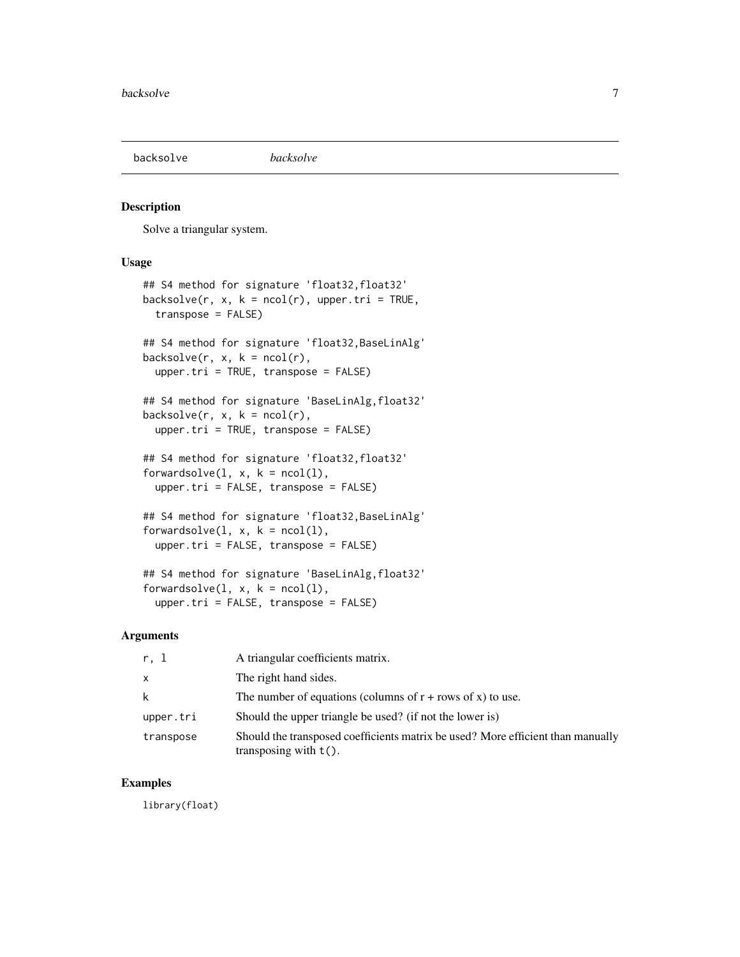<span id="page-6-0"></span>

#### Description

Solve a triangular system.

#### Usage

```
## S4 method for signature 'float32,float32'
backsolve(r, x, k = ncol(r), upper.tri = TRUE,
  transpose = FALSE)
## S4 method for signature 'float32,BaseLinAlg'
backsolve(r, x, k = ncol(r),upper.tri = TRUE, transpose = FALSE)
## S4 method for signature 'BaseLinAlg,float32'
backsolve(r, x, k = \text{ncol}(r),
  upper.tr_i = TRUE, transpose = FALSE)## S4 method for signature 'float32, float32'
forwardsolve(1, x, k = \text{ncol}(1),upper.tri = FALSE, transpose = FALSE)
## S4 method for signature 'float32,BaseLinAlg'
forwardsolve(1, x, k = \text{ncol}(1),upper.tri = FALSE, transpose = FALSE)
## S4 method for signature 'BaseLinAlg,float32'
forwardsolve(1, x, k = \text{ncol}(1),
```
upper.tri = FALSE, transpose = FALSE)

#### Arguments

| r. l      | A triangular coefficients matrix.                                                                           |
|-----------|-------------------------------------------------------------------------------------------------------------|
| x         | The right hand sides.                                                                                       |
| k         | The number of equations (columns of $r + rows$ of x) to use.                                                |
| upper.tri | Should the upper triangle be used? (if not the lower is)                                                    |
| transpose | Should the transposed coefficients matrix be used? More efficient than manually<br>transposing with $t()$ . |

# Examples

library(float)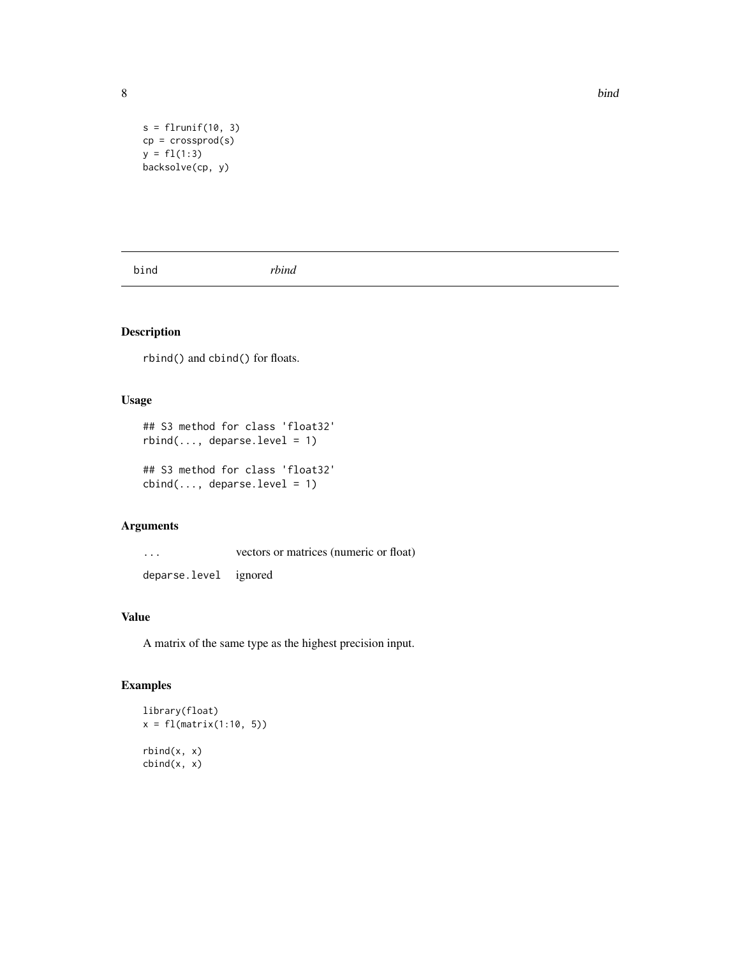```
s = flrunif(10, 3)cp = crossprod(s)y = f1(1:3)backsolve(cp, y)
```
bind *rbind*

# Description

rbind() and cbind() for floats.

# Usage

```
## S3 method for class 'float32'
rbind(..., deparse.level = 1)## S3 method for class 'float32'
cbind(..., deparse.level = 1)
```
#### Arguments

... vectors or matrices (numeric or float) deparse.level ignored

# Value

A matrix of the same type as the highest precision input.

### Examples

```
library(float)
x = f1(matrix(1:10, 5))rbind(x, x)
cbind(x, x)
```
<span id="page-7-0"></span>8 bind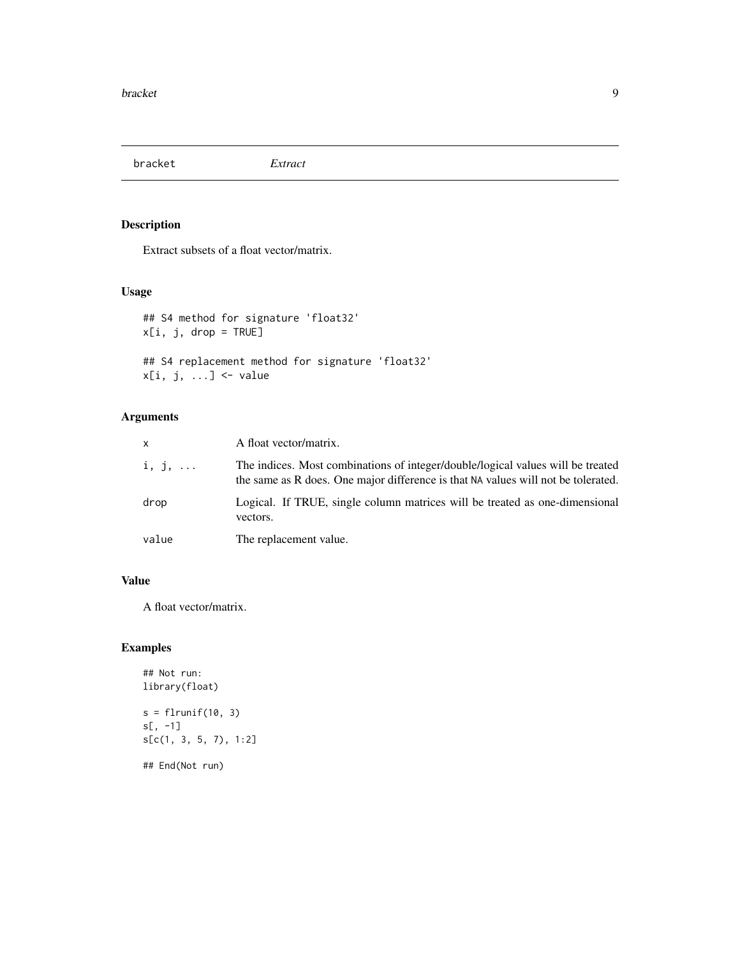<span id="page-8-0"></span>bracket *Extract*

### Description

Extract subsets of a float vector/matrix.

### Usage

## S4 method for signature 'float32' x[i, j, drop = TRUE]

## S4 replacement method for signature 'float32'  $x[i, j, ...] \leftarrow$  value

# Arguments

| $\mathsf{x}$   | A float vector/matrix.                                                                                                                                               |
|----------------|----------------------------------------------------------------------------------------------------------------------------------------------------------------------|
| $i, j, \ldots$ | The indices. Most combinations of integer/double/logical values will be treated<br>the same as R does. One major difference is that NA values will not be tolerated. |
| drop           | Logical. If TRUE, single column matrices will be treated as one-dimensional<br>vectors.                                                                              |
| value          | The replacement value.                                                                                                                                               |

#### Value

A float vector/matrix.

### Examples

```
## Not run:
library(float)
s = flrunif(10, 3)s[, -1]
s[c(1, 3, 5, 7), 1:2]
```
## End(Not run)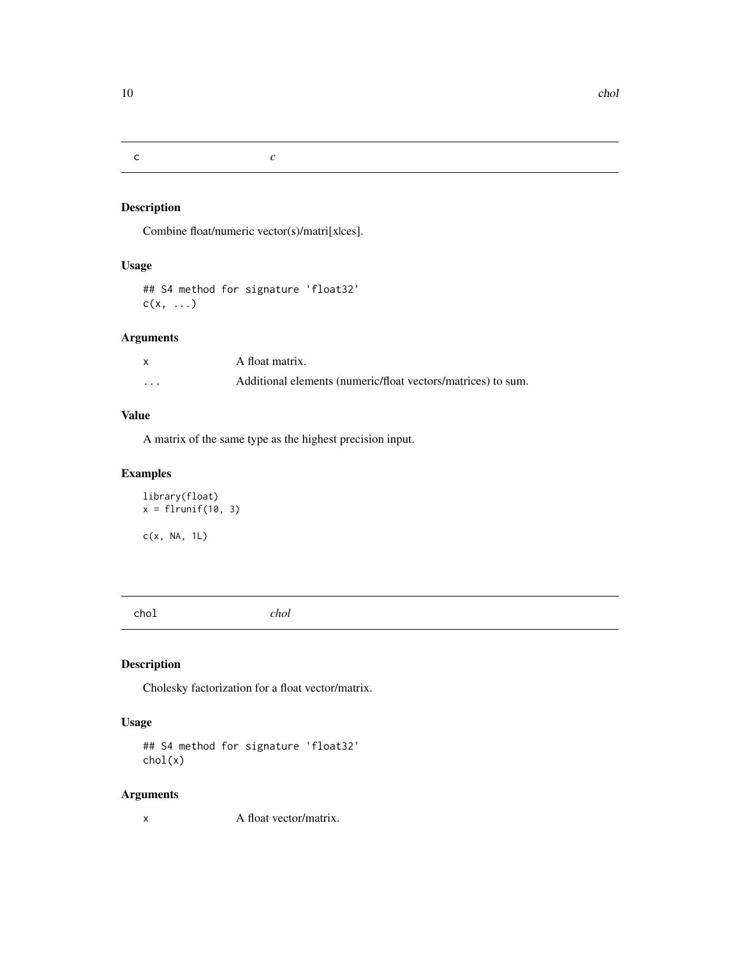<span id="page-9-0"></span>c *c*

### Description

Combine float/numeric vector(s)/matri[x|ces].

### Usage

## S4 method for signature 'float32'  $c(x, \ldots)$ 

### Arguments

|          | A float matrix.                                              |
|----------|--------------------------------------------------------------|
| $\cdots$ | Additional elements (numeric/float vectors/matrices) to sum. |

#### Value

A matrix of the same type as the highest precision input.

# Examples

```
library(float)
x = \text{flrunif}(10, 3)c(x, NA, 1L)
```
chol *chol*

# Description

Cholesky factorization for a float vector/matrix.

### Usage

```
## S4 method for signature 'float32'
chol(x)
```
### Arguments

x A float vector/matrix.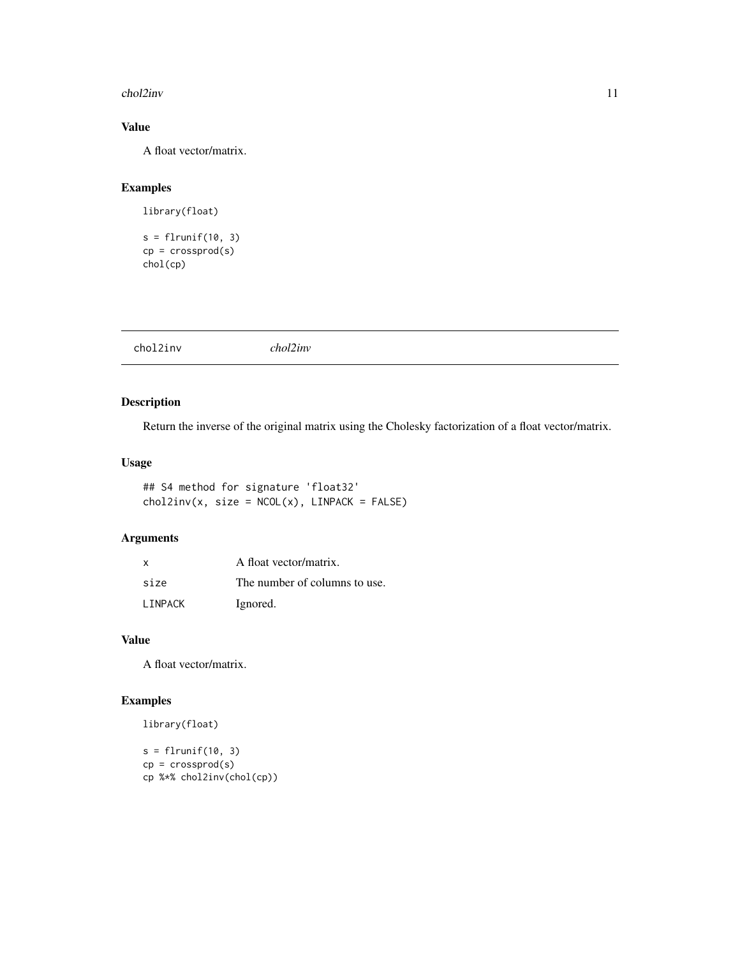#### <span id="page-10-0"></span>chol2inv 11

# Value

A float vector/matrix.

# Examples

library(float)

```
s = flrunif(10, 3)cp = crossprod(s)chol(cp)
```

|--|--|

# Description

Return the inverse of the original matrix using the Cholesky factorization of a float vector/matrix.

### Usage

## S4 method for signature 'float32'  $chol2inv(x, size = NCOL(x), LINPACK = FALSE)$ 

# Arguments

| x              | A float vector/matrix.        |
|----------------|-------------------------------|
| size           | The number of columns to use. |
| <b>LINPACK</b> | Ignored.                      |

#### Value

A float vector/matrix.

# Examples

```
library(float)
```

```
s = flrunif(10, 3)cp = crossprod(s)cp %*% chol2inv(chol(cp))
```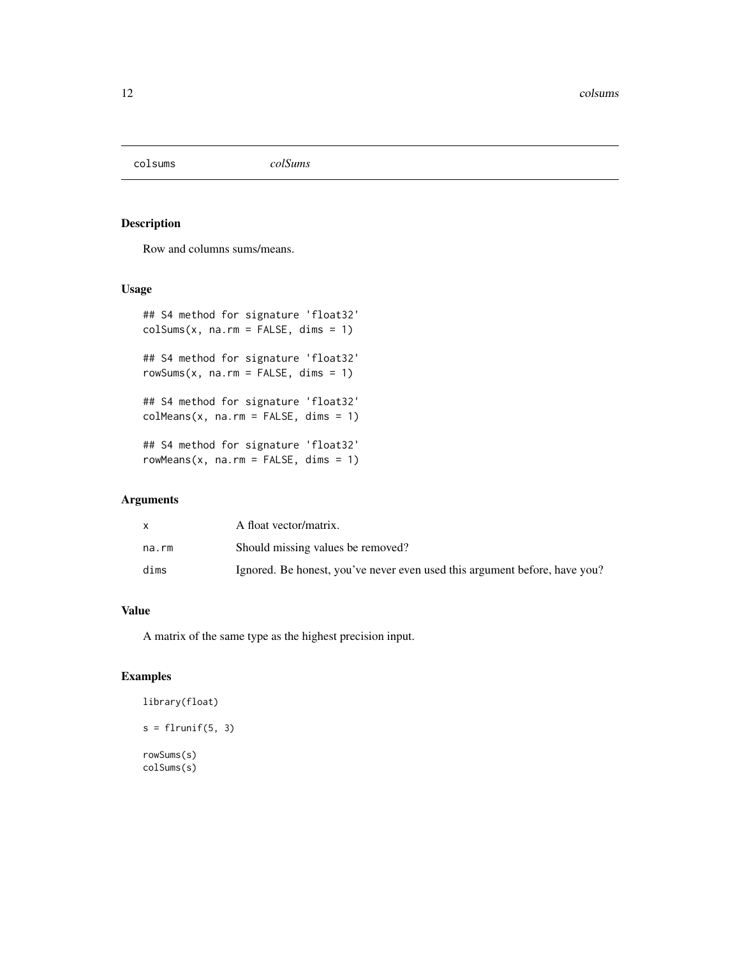<span id="page-11-0"></span>

### Description

Row and columns sums/means.

#### Usage

```
## S4 method for signature 'float32'
colSums(x, na.rm = FALSE, dims = 1)## S4 method for signature 'float32'
rowsums(x, na.rm = FALSE, dims = 1)## S4 method for signature 'float32'
colMeans(x, na.rm = FALSE, dims = 1)## S4 method for signature 'float32'
rowMeans(x, na.rm = FALSE, dims = 1)
```
#### Arguments

|       | A float vector/matrix.                                                     |
|-------|----------------------------------------------------------------------------|
| na.rm | Should missing values be removed?                                          |
| dims  | Ignored. Be honest, you've never even used this argument before, have you? |

#### Value

A matrix of the same type as the highest precision input.

# Examples

library(float)  $s = flrunif(5, 3)$ rowSums(s) colSums(s)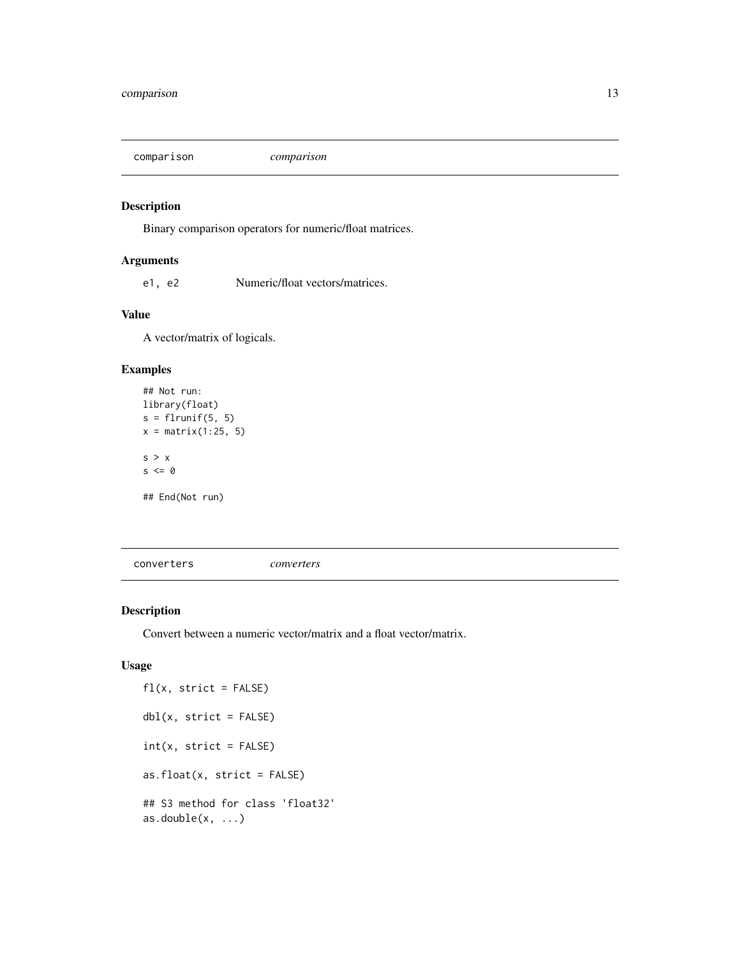<span id="page-12-0"></span>comparison *comparison*

#### Description

Binary comparison operators for numeric/float matrices.

#### Arguments

e1, e2 Numeric/float vectors/matrices.

# Value

A vector/matrix of logicals.

#### Examples

```
## Not run:
library(float)
s = flrunif(5, 5)x = matrix(1:25, 5)s > x
s \leq \emptyset## End(Not run)
```
converters *converters*

# Description

Convert between a numeric vector/matrix and a float vector/matrix.

```
fl(x, strict = FALSE)dbl(x, strict = FALSE)
int(x, strict = FALSE)as.float(x, strict = FALSE)## S3 method for class 'float32'
as.double(x, ...)
```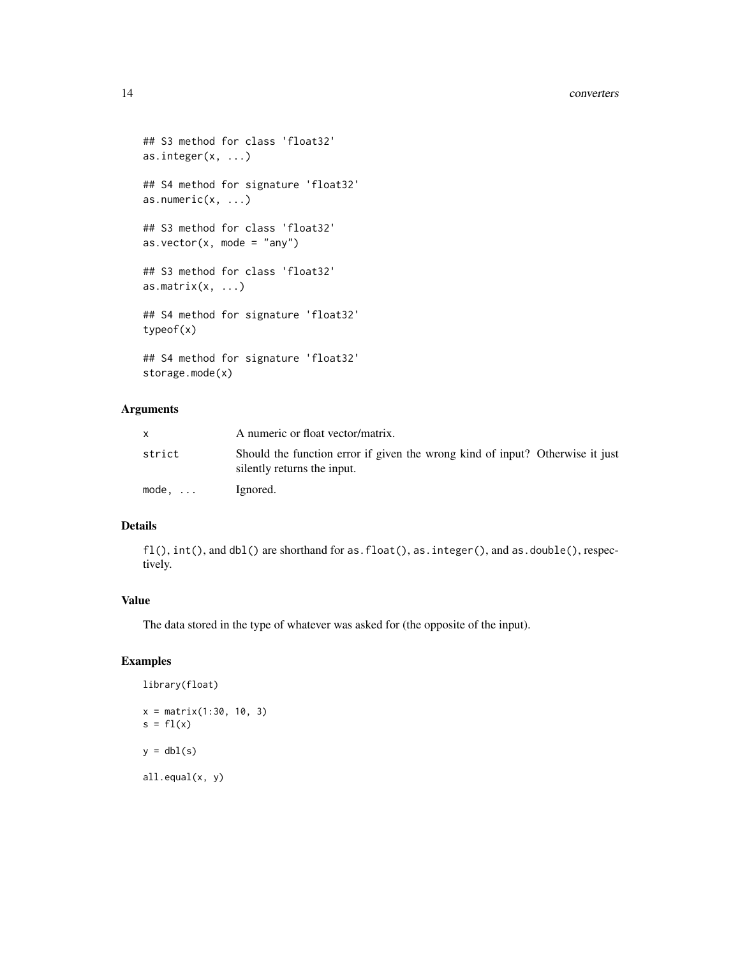```
## S3 method for class 'float32'
as.integer(x, ...)
## S4 method for signature 'float32'
as.numeric(x, \ldots)## S3 method for class 'float32'
as.vector(x, \text{ mode} = "any")## S3 method for class 'float32'
as.matrix(x, \ldots)## S4 method for signature 'float32'
typeof(x)
## S4 method for signature 'float32'
storage.mode(x)
```
# Arguments

|        | A numeric or float vector/matrix.                                                                            |
|--------|--------------------------------------------------------------------------------------------------------------|
| strict | Should the function error if given the wrong kind of input? Otherwise it just<br>silently returns the input. |
| mode.  | Ignored.                                                                                                     |

# Details

fl(),  $int()$ , and dbl() are shorthand for as.float(), as.integer(), and as.double(), respectively.

#### Value

The data stored in the type of whatever was asked for (the opposite of the input).

### Examples

```
library(float)
x = matrix(1:30, 10, 3)
s = f1(x)y = dbl(s)all.equal(x, y)
```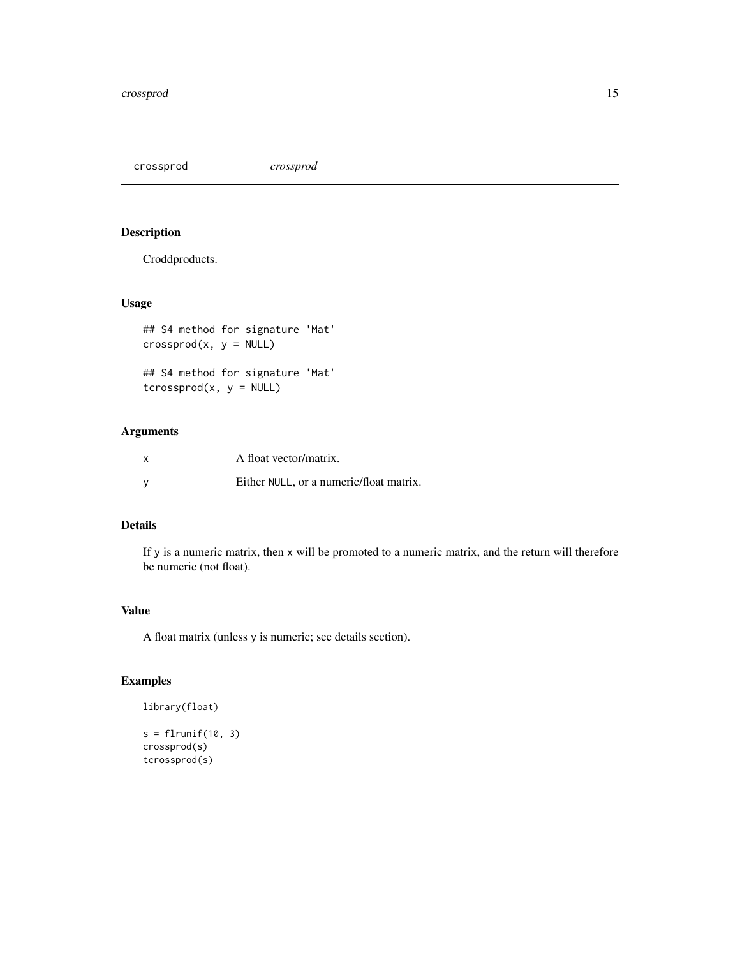<span id="page-14-0"></span>crossprod *crossprod*

### Description

Croddproducts.

### Usage

```
## S4 method for signature 'Mat'
crossprod(x, y = NULL)
```

```
## S4 method for signature 'Mat'
tcrossprod(x, y = NULL)
```
### Arguments

| x   | A float vector/matrix.                  |
|-----|-----------------------------------------|
| - V | Either NULL, or a numeric/float matrix. |

# Details

If y is a numeric matrix, then x will be promoted to a numeric matrix, and the return will therefore be numeric (not float).

#### Value

A float matrix (unless y is numeric; see details section).

#### Examples

```
library(float)
s = flrunif(10, 3)
```
crossprod(s) tcrossprod(s)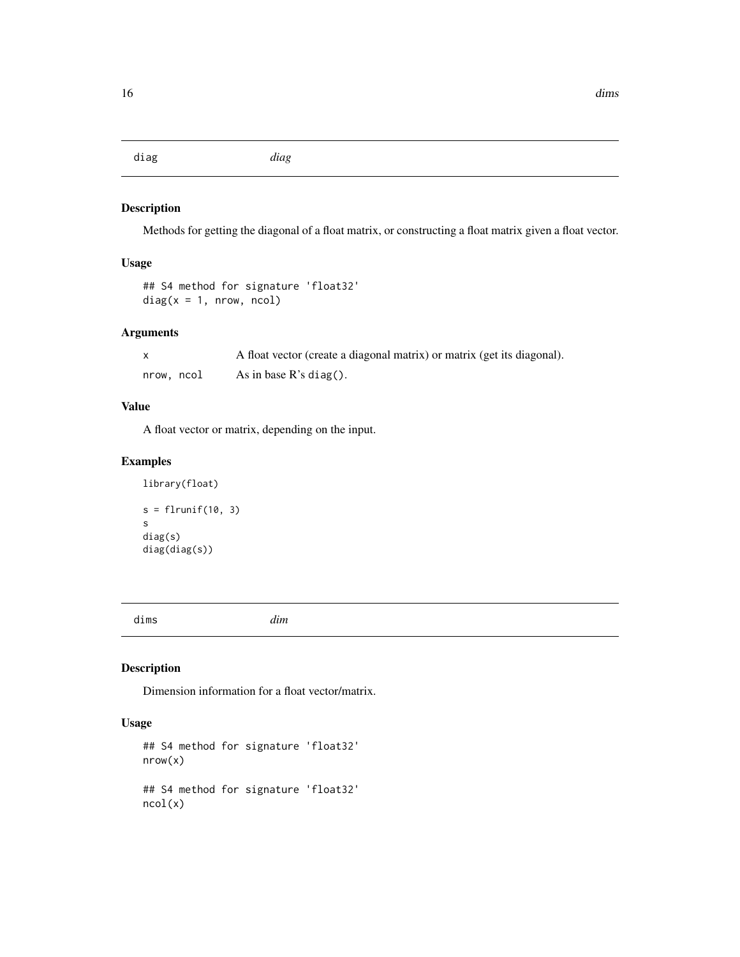<span id="page-15-0"></span>diag *diag*

### Description

Methods for getting the diagonal of a float matrix, or constructing a float matrix given a float vector.

# Usage

```
## S4 method for signature 'float32'
diag(x = 1, nrow, ncol)
```
### Arguments

|            | A float vector (create a diagonal matrix) or matrix (get its diagonal). |
|------------|-------------------------------------------------------------------------|
| nrow. ncol | As in base $R$ 's diag().                                               |

# Value

A float vector or matrix, depending on the input.

#### Examples

```
library(float)
s = flrunif(10, 3)s
diag(s)
diag(diag(s))
```
dims *dim*

# Description

Dimension information for a float vector/matrix.

```
## S4 method for signature 'float32'
nrow(x)
## S4 method for signature 'float32'
ncol(x)
```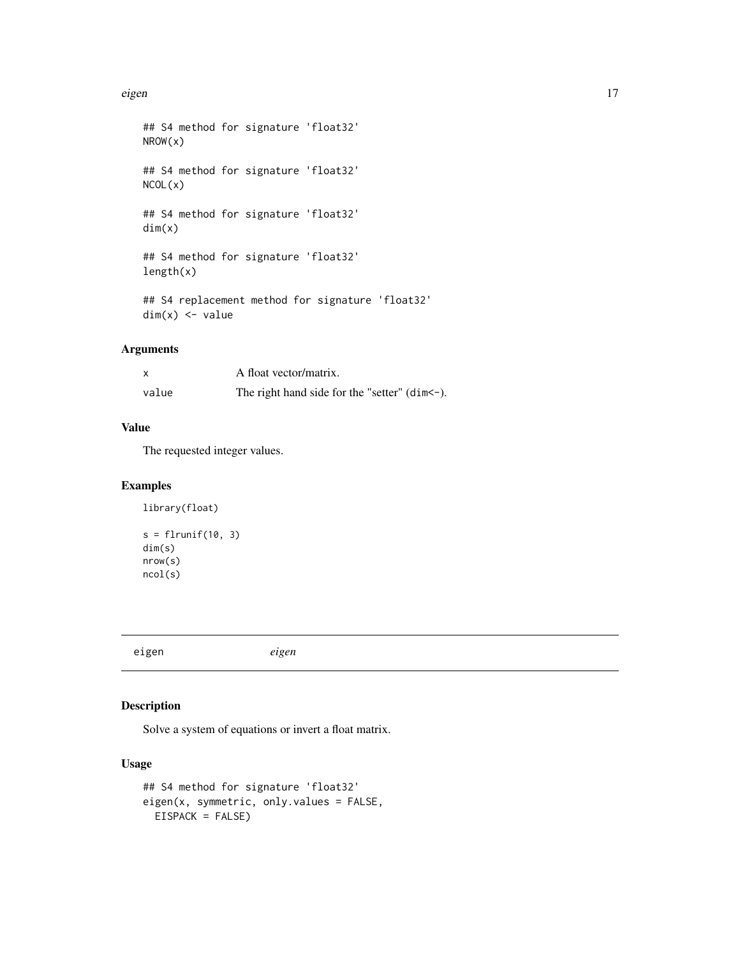#### <span id="page-16-0"></span>eigen aan de Santa Groepen († 1798). De westen de westen de steedste koning en de steedste koning van de steed

```
## S4 method for signature 'float32'
NROW(x)
## S4 method for signature 'float32'
NCOL(x)
## S4 method for signature 'float32'
dim(x)
## S4 method for signature 'float32'
length(x)
## S4 replacement method for signature 'float32'
dim(x) <- value
```
# Arguments

| X     | A float vector/matrix.                             |
|-------|----------------------------------------------------|
| value | The right hand side for the "setter" $(dim < -)$ . |

#### Value

The requested integer values.

#### Examples

```
library(float)
s = flrunif(10, 3)dim(s)
nrow(s)
ncol(s)
```
eigen *eigen*

# Description

Solve a system of equations or invert a float matrix.

```
## S4 method for signature 'float32'
eigen(x, symmetric, only.values = FALSE,
 EISPACK = FALSE)
```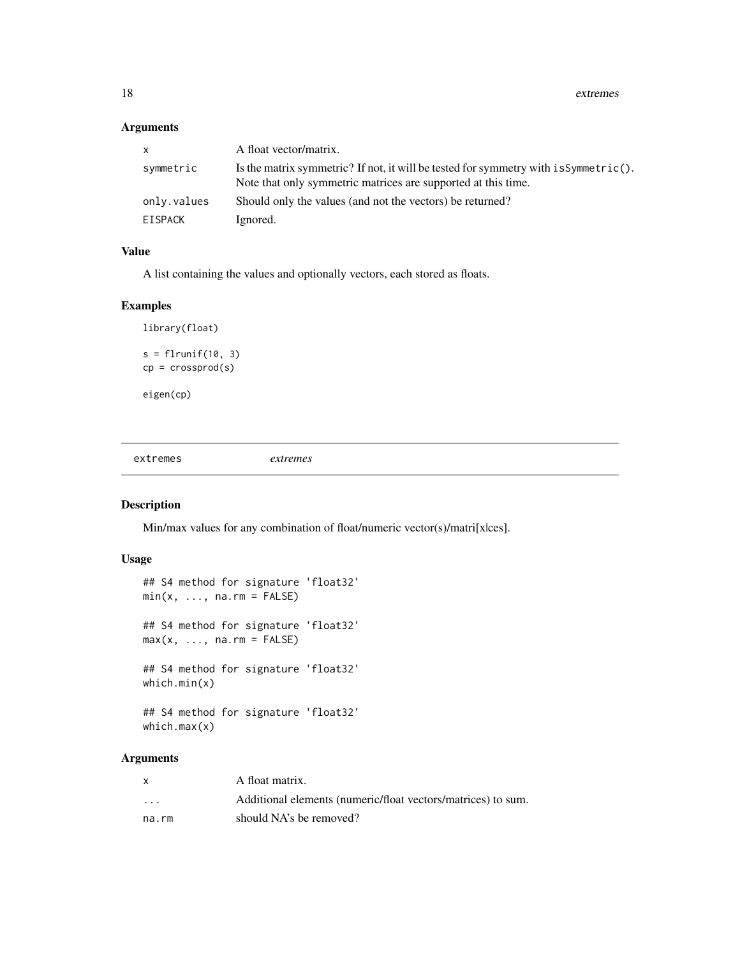18 extremes

#### Arguments

| $\mathsf{x}$ | A float vector/matrix.                                                                                                                                  |
|--------------|---------------------------------------------------------------------------------------------------------------------------------------------------------|
| symmetric    | Is the matrix symmetric? If not, it will be tested for symmetry with $isSymmetric()$ .<br>Note that only symmetric matrices are supported at this time. |
| only.values  | Should only the values (and not the vectors) be returned?                                                                                               |
| EISPACK      | Ignored.                                                                                                                                                |

#### Value

A list containing the values and optionally vectors, each stored as floats.

#### Examples

```
library(float)
s = flrunif(10, 3)cp = crossprod(s)eigen(cp)
```
extremes *extremes*

# Description

Min/max values for any combination of float/numeric vector(s)/matri[x|ces].

#### Usage

```
## S4 method for signature 'float32'
min(x, ..., na.rm = FALSE)## S4 method for signature 'float32'
max(x, ..., na.rm = FALSE)## S4 method for signature 'float32'
which.min(x)
## S4 method for signature 'float32'
which.max(x)
```
# Arguments

|                         | A float matrix.                                              |
|-------------------------|--------------------------------------------------------------|
| $\cdot$ $\cdot$ $\cdot$ | Additional elements (numeric/float vectors/matrices) to sum. |
| na.rm                   | should NA's be removed?                                      |

<span id="page-17-0"></span>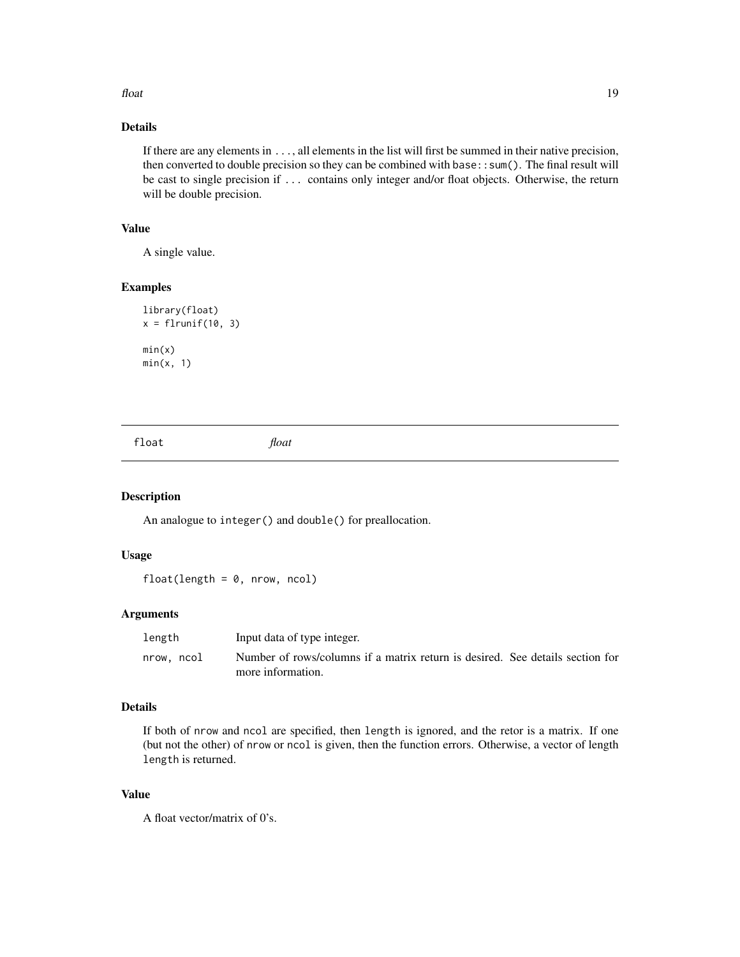#### <span id="page-18-0"></span>float 19

# Details

If there are any elements in ..., all elements in the list will first be summed in their native precision, then converted to double precision so they can be combined with base::sum(). The final result will be cast to single precision if ... contains only integer and/or float objects. Otherwise, the return will be double precision.

#### Value

A single value.

#### Examples

```
library(float)
x = flrunif(10, 3)min(x)
min(x, 1)
```

| loat | float |  |  |
|------|-------|--|--|
|      |       |  |  |

#### Description

An analogue to integer() and double() for preallocation.

#### Usage

 $float(length = 0, nrow, ncol)$ 

#### Arguments

| length     | Input data of type integer.                                                   |
|------------|-------------------------------------------------------------------------------|
| nrow, ncol | Number of rows/columns if a matrix return is desired. See details section for |
|            | more information.                                                             |

#### Details

If both of nrow and ncol are specified, then length is ignored, and the retor is a matrix. If one (but not the other) of nrow or ncol is given, then the function errors. Otherwise, a vector of length length is returned.

#### Value

A float vector/matrix of 0's.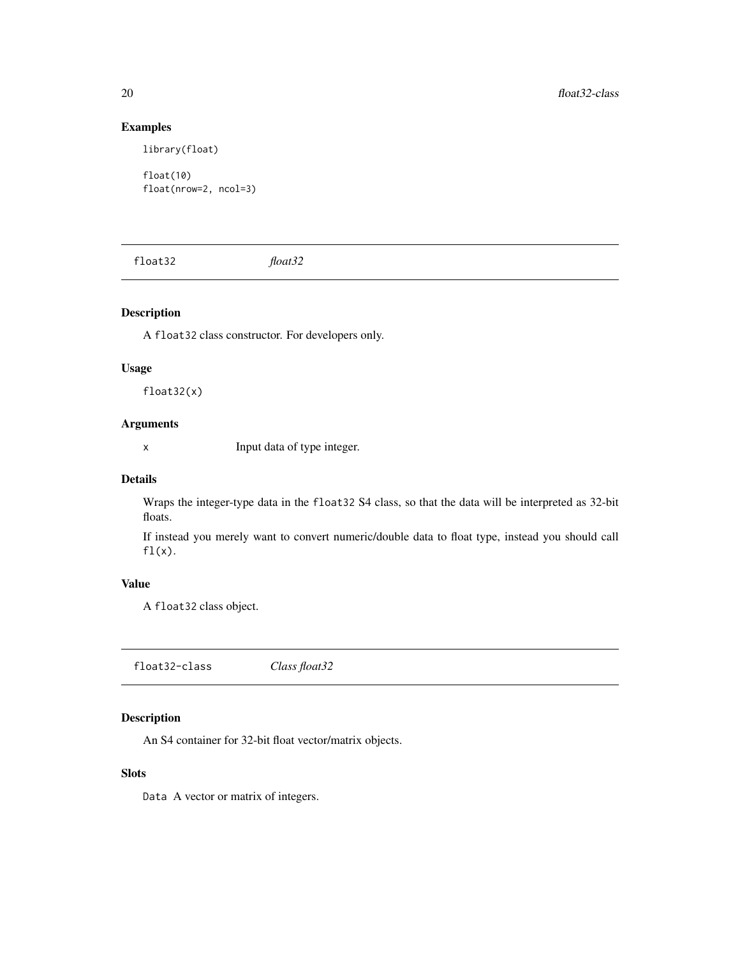#### Examples

library(float)

float(10) float(nrow=2, ncol=3)

float32 *float32*

# Description

A float32 class constructor. For developers only.

#### Usage

float32(x)

#### Arguments

x Input data of type integer.

#### Details

Wraps the integer-type data in the float32 S4 class, so that the data will be interpreted as 32-bit floats.

If instead you merely want to convert numeric/double data to float type, instead you should call  $f1(x)$ .

#### Value

A float32 class object.

float32-class *Class float32*

# Description

An S4 container for 32-bit float vector/matrix objects.

# Slots

Data A vector or matrix of integers.

<span id="page-19-0"></span>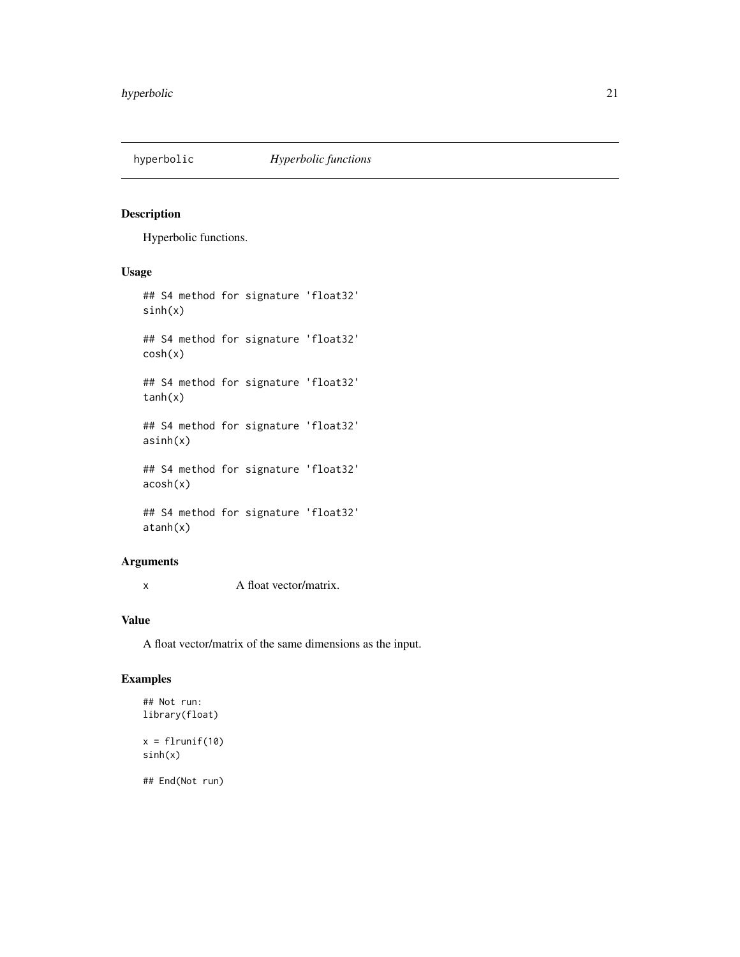<span id="page-20-0"></span>

### Description

Hyperbolic functions.

# Usage

## S4 method for signature 'float32' sinh(x) ## S4 method for signature 'float32' cosh(x) ## S4 method for signature 'float32' tanh(x) ## S4 method for signature 'float32' asinh(x) ## S4 method for signature 'float32' acosh(x)

## S4 method for signature 'float32' atanh(x)

### Arguments

x A float vector/matrix.

# Value

A float vector/matrix of the same dimensions as the input.

# Examples

```
## Not run:
library(float)
```
 $x = flrunif(10)$ sinh(x)

## End(Not run)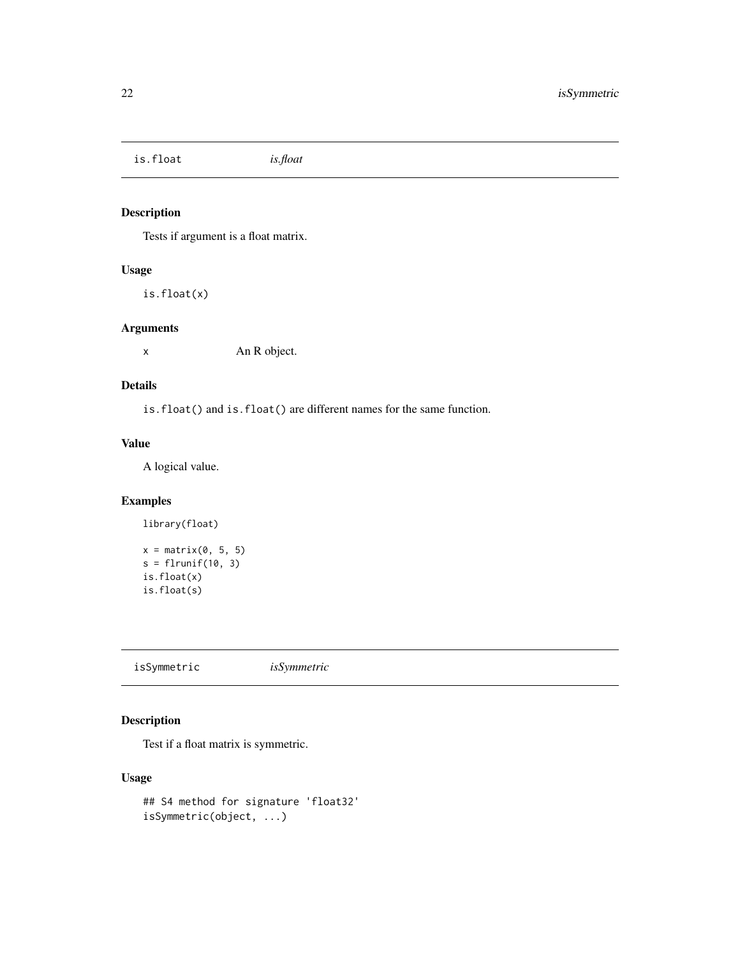<span id="page-21-0"></span>is.float *is.float*

# Description

Tests if argument is a float matrix.

#### Usage

is.float(x)

#### Arguments

x An R object.

#### Details

is.float() and is.float() are different names for the same function.

#### Value

A logical value.

### Examples

```
library(float)
x = matrix(0, 5, 5)s = flrunif(10, 3)is.float(x)
is.float(s)
```
isSymmetric *isSymmetric*

# Description

Test if a float matrix is symmetric.

```
## S4 method for signature 'float32'
isSymmetric(object, ...)
```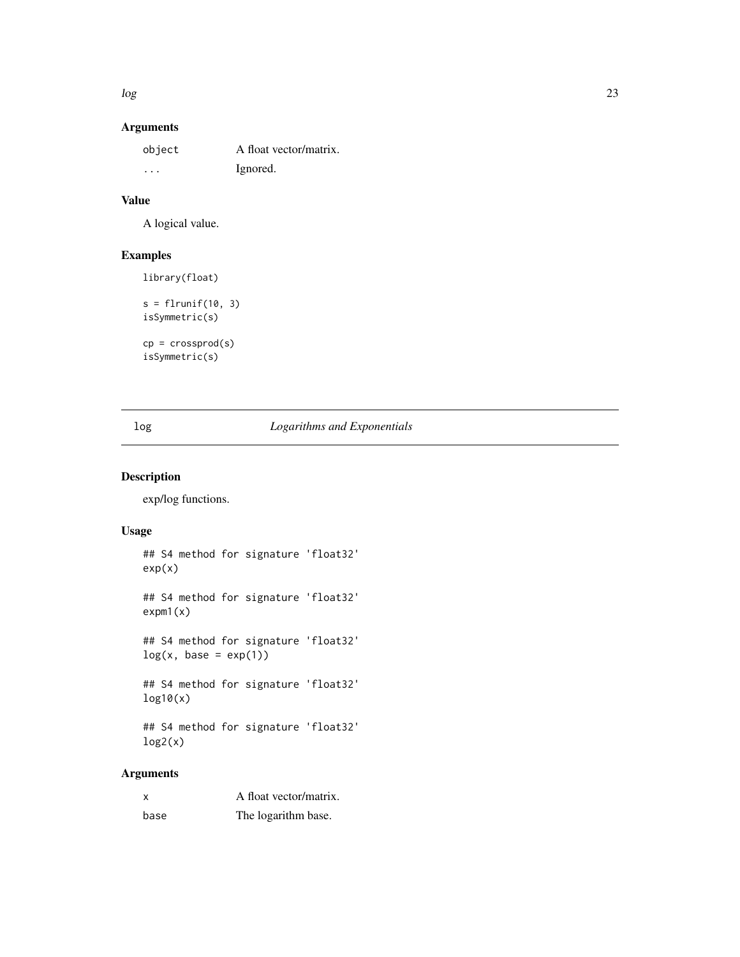<span id="page-22-0"></span> $log$  23

# Arguments

| object   | A float vector/matrix. |
|----------|------------------------|
| $\cdots$ | Ignored.               |

# Value

A logical value.

# Examples

library(float)

```
s = flrunif(10, 3)isSymmetric(s)
cp = crossprod(s)
```
isSymmetric(s)

### log *Logarithms and Exponentials*

### Description

exp/log functions.

### Usage

```
## S4 method for signature 'float32'
exp(x)
## S4 method for signature 'float32'
expm1(x)
## S4 method for signature 'float32'
log(x, base = exp(1))## S4 method for signature 'float32'
log10(x)
## S4 method for signature 'float32'
log2(x)
```
# Arguments

| X    | A float vector/matrix. |
|------|------------------------|
| base | The logarithm base.    |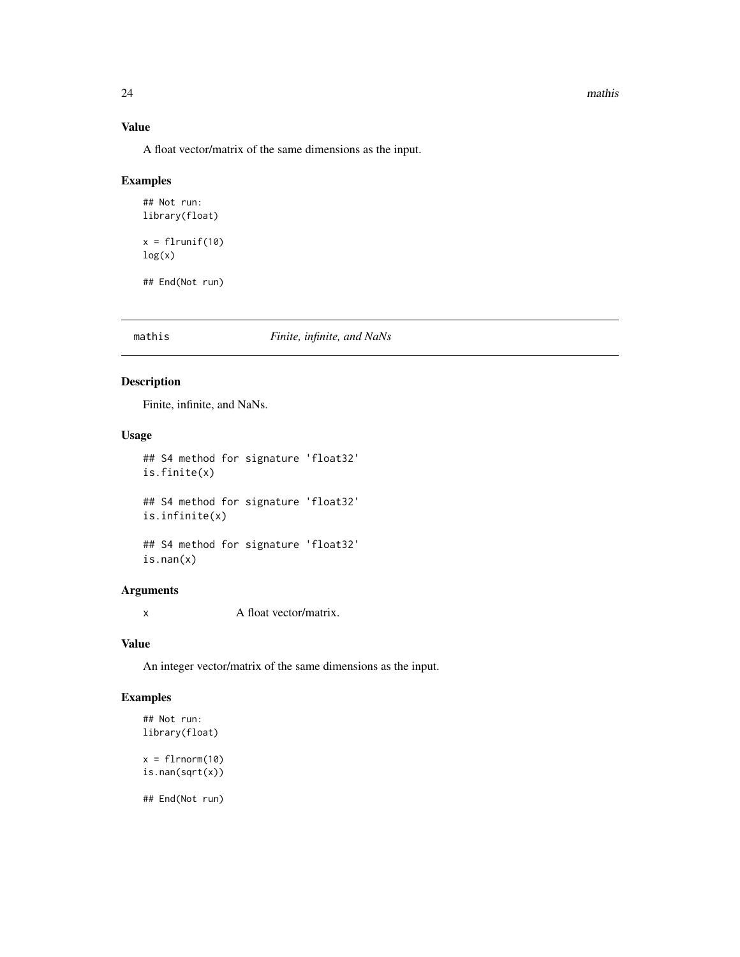#### 24 mathis and the contract of the contract of the contract of the contract of the contract of the contract of the contract of the contract of the contract of the contract of the contract of the contract of the contract of

#### Value

A float vector/matrix of the same dimensions as the input.

### Examples

```
## Not run:
library(float)
x = flrunif(10)log(x)
```
## End(Not run)

#### mathis *Finite, infinite, and NaNs*

#### Description

Finite, infinite, and NaNs.

#### Usage

```
## S4 method for signature 'float32'
is.finite(x)
## S4 method for signature 'float32'
```

```
is.infinite(x)
```

```
## S4 method for signature 'float32'
is.nan(x)
```
# Arguments

x A float vector/matrix.

#### Value

An integer vector/matrix of the same dimensions as the input.

# Examples

```
## Not run:
library(float)
x = \text{flmorm}(10)is.nan(sqrt(x))
```
## End(Not run)

<span id="page-23-0"></span>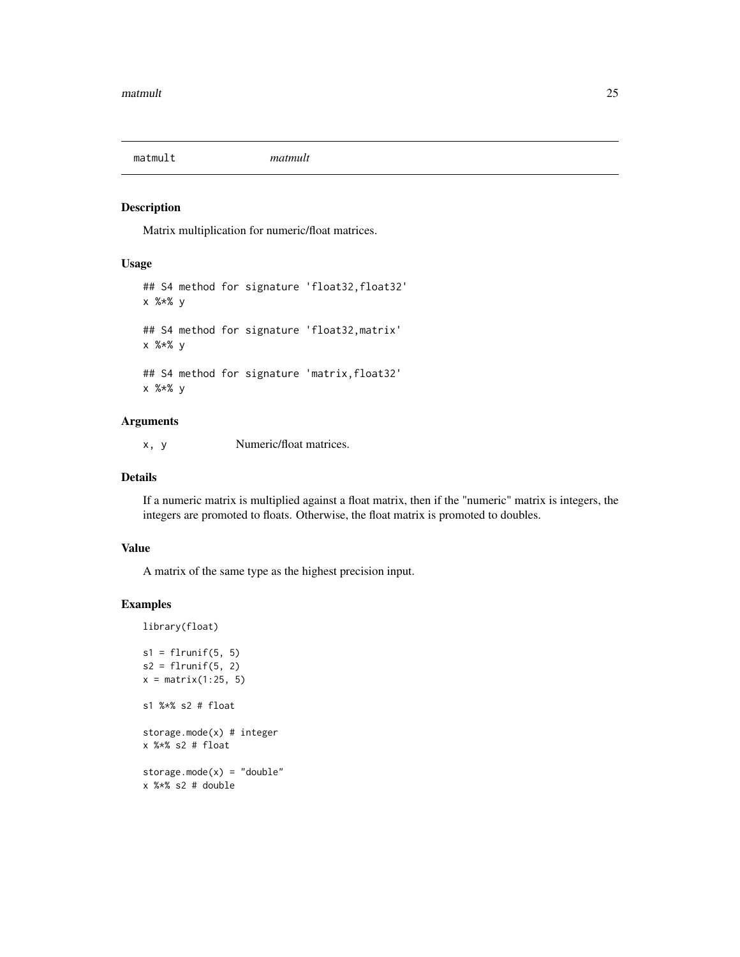<span id="page-24-0"></span>

#### Description

Matrix multiplication for numeric/float matrices.

#### Usage

```
## S4 method for signature 'float32, float32'
x %*% y
## S4 method for signature 'float32,matrix'
x %*% y
## S4 method for signature 'matrix, float32'
x %*% y
```
#### Arguments

x, y Numeric/float matrices.

#### Details

If a numeric matrix is multiplied against a float matrix, then if the "numeric" matrix is integers, the integers are promoted to floats. Otherwise, the float matrix is promoted to doubles.

#### Value

A matrix of the same type as the highest precision input.

### Examples

library(float)

```
s1 = flrunif(5, 5)s2 = flrunif(5, 2)x = matrix(1:25, 5)s1 %*% s2 # float
storage.mode(x) # integer
x %*% s2 # float
storage.mode(x) = "double"x %*% s2 # double
```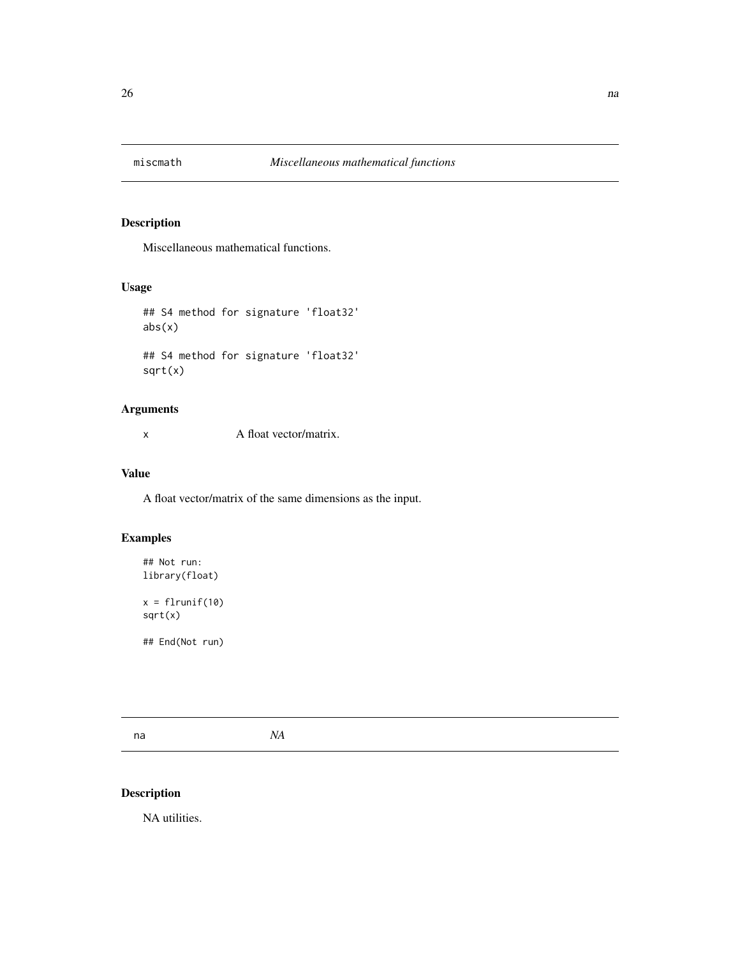<span id="page-25-0"></span>

# Description

Miscellaneous mathematical functions.

### Usage

```
## S4 method for signature 'float32'
abs(x)
## S4 method for signature 'float32'
sqrt(x)
```
### Arguments

x A float vector/matrix.

# Value

A float vector/matrix of the same dimensions as the input.

# Examples

```
## Not run:
library(float)
```
 $x = flrunif(10)$ sqrt(x)

## End(Not run)

na *NA*

# Description

NA utilities.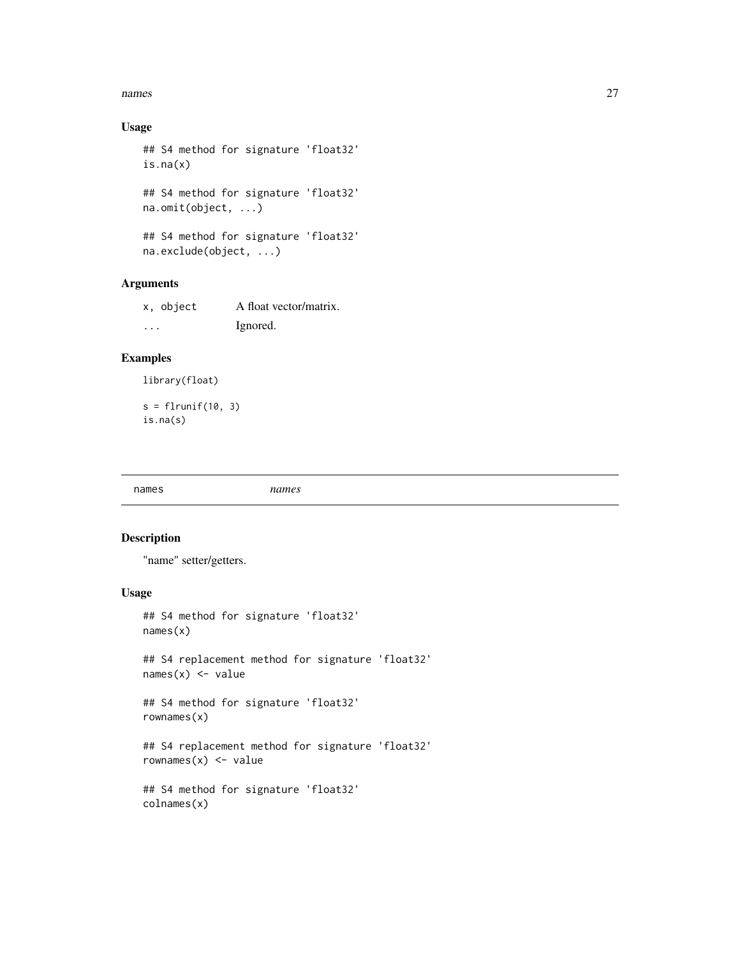#### <span id="page-26-0"></span>names 27

# Usage

```
## S4 method for signature 'float32'
is.na(x)
## S4 method for signature 'float32'
na.omit(object, ...)
## S4 method for signature 'float32'
```
na.exclude(object, ...)

#### Arguments

| x, object | A float vector/matrix. |
|-----------|------------------------|
| .         | Ignored.               |

### Examples

library(float)

 $s = flrunif(10, 3)$ is.na(s)

names *names*

### Description

"name" setter/getters.

#### Usage

```
## S4 method for signature 'float32'
names(x)
```
## S4 replacement method for signature 'float32'  $names(x)$  <- value

```
## S4 method for signature 'float32'
rownames(x)
```
## S4 replacement method for signature 'float32' rownames $(x)$  <- value

```
## S4 method for signature 'float32'
colnames(x)
```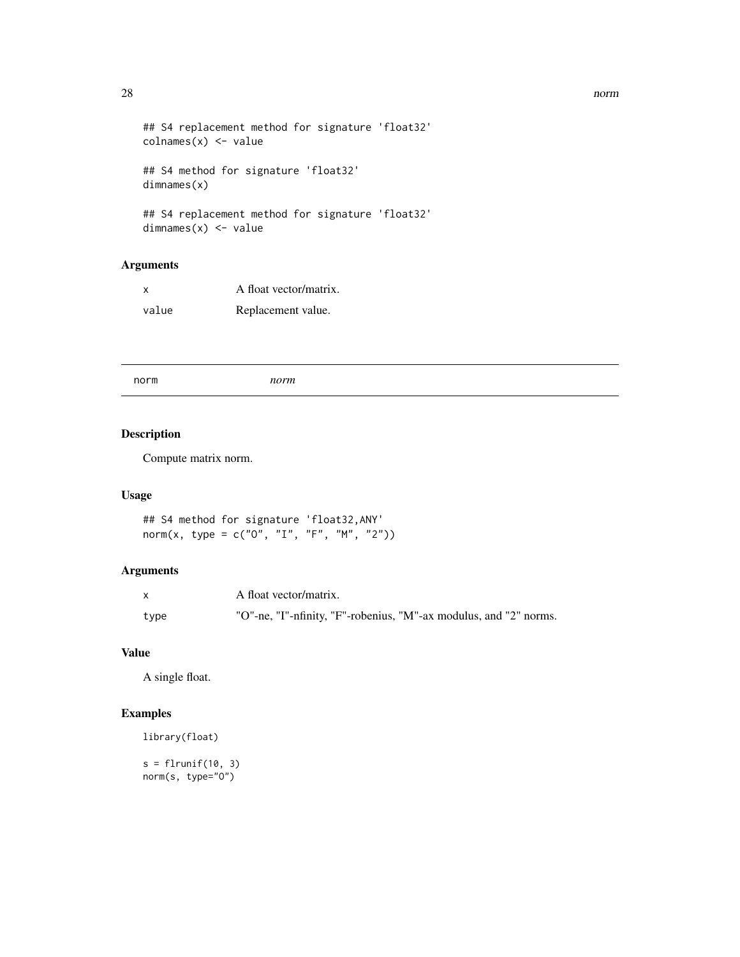```
## S4 replacement method for signature 'float32'
\text{columns}(x) \leq \text{value}## S4 method for signature 'float32'
dimnames(x)
## S4 replacement method for signature 'float32'
```

```
dimnames(x) <- value
```
# Arguments

| X     | A float vector/matrix. |
|-------|------------------------|
| value | Replacement value.     |

norm *norm*

### Description

Compute matrix norm.

#### Usage

```
## S4 method for signature 'float32,ANY'
norm(x, type = c("0", "I", "F", "M", "2"))
```
### Arguments

|      | A float vector/matrix.                                            |
|------|-------------------------------------------------------------------|
| type | "O"-ne, "I"-nfinity, "F"-robenius, "M"-ax modulus, and "2" norms. |

# Value

A single float.

# Examples

```
library(float)
```

```
s = flrunif(10, 3)norm(s, type="O")
```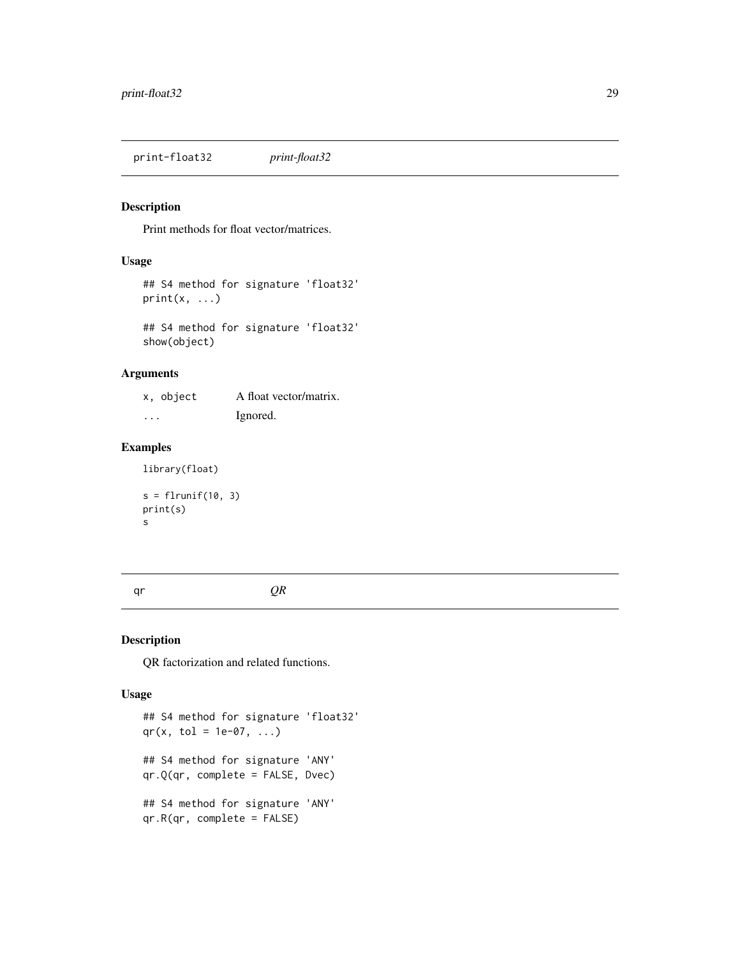<span id="page-28-0"></span>print-float32 *print-float32*

### Description

Print methods for float vector/matrices.

### Usage

```
## S4 method for signature 'float32'
print(x, \ldots)
```
## S4 method for signature 'float32' show(object)

#### Arguments

| x, object | A float vector/matrix. |
|-----------|------------------------|
| $\cdots$  | Ignored.               |

# Examples

library(float)

s = flrunif(10, 3) print(s) s

qr *QR*

### Description

QR factorization and related functions.

```
## S4 method for signature 'float32'
qr(x, tol = 1e-07, ...)## S4 method for signature 'ANY'
qr.Q(qr, complete = FALSE, Dvec)
## S4 method for signature 'ANY'
qr.R(qr, complete = FALSE)
```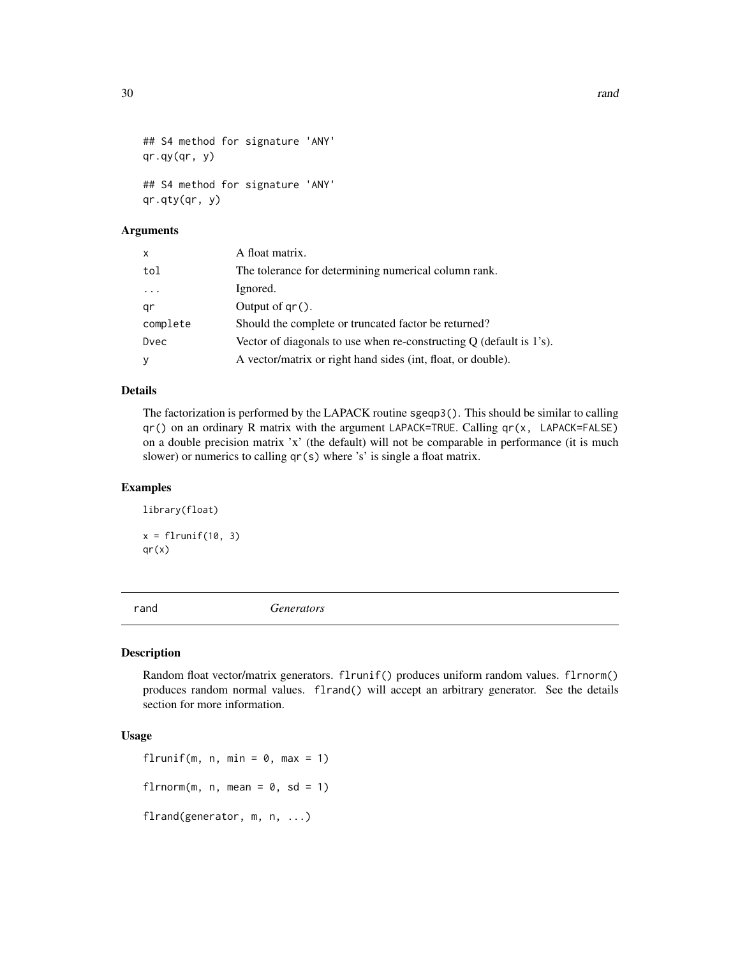```
## S4 method for signature 'ANY'
qr.qy(qr, y)## S4 method for signature 'ANY'
qr.qty(qr, y)
```
#### Arguments

| X        | A float matrix.                                                       |
|----------|-----------------------------------------------------------------------|
| tol      | The tolerance for determining numerical column rank.                  |
| $\ddots$ | Ignored.                                                              |
| qr       | Output of $gr()$ .                                                    |
| complete | Should the complete or truncated factor be returned?                  |
| Dvec     | Vector of diagonals to use when re-constructing $Q$ (default is 1's). |
| У        | A vector/matrix or right hand sides (int, float, or double).          |

#### Details

The factorization is performed by the LAPACK routine sgeqp3(). This should be similar to calling qr() on an ordinary R matrix with the argument LAPACK=TRUE. Calling qr(x, LAPACK=FALSE) on a double precision matrix 'x' (the default) will not be comparable in performance (it is much slower) or numerics to calling qr(s) where 's' is single a float matrix.

#### Examples

```
library(float)
x = flrunif(10, 3)qr(x)
```
rand *Generators*

#### Description

Random float vector/matrix generators. flrunif() produces uniform random values. flrnorm() produces random normal values. flrand() will accept an arbitrary generator. See the details section for more information.

```
flrunif(m, n, min = 0, max = 1)
flrnorm(m, n, mean = 0, sd = 1)
flrand(generator, m, n, ...)
```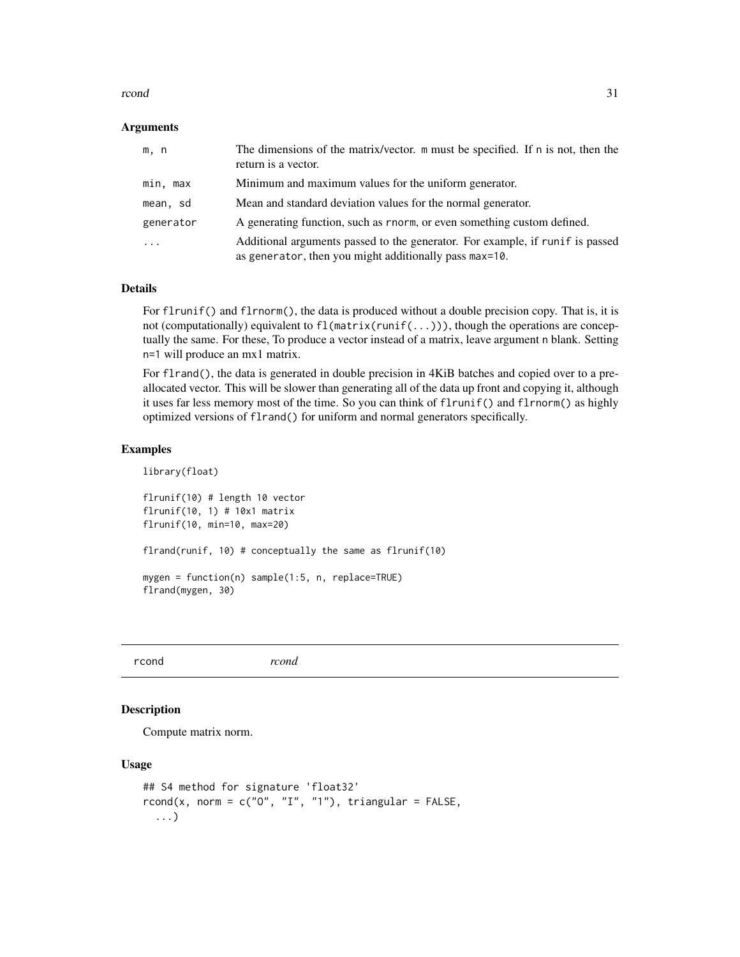#### <span id="page-30-0"></span>rcond 31

#### **Arguments**

| m, n                    | The dimensions of the matrix/vector. m must be specified. If n is not, then the<br>return is a vector.                                   |
|-------------------------|------------------------------------------------------------------------------------------------------------------------------------------|
| min, max                | Minimum and maximum values for the uniform generator.                                                                                    |
| mean, sd                | Mean and standard deviation values for the normal generator.                                                                             |
| generator               | A generating function, such as rnorm, or even something custom defined.                                                                  |
| $\cdot$ $\cdot$ $\cdot$ | Additional arguments passed to the generator. For example, if run if is passed<br>as generator, then you might additionally pass max=10. |

#### Details

For flrunif() and flrnorm(), the data is produced without a double precision copy. That is, it is not (computationally) equivalent to fl(matrix(runif(...))), though the operations are conceptually the same. For these, To produce a vector instead of a matrix, leave argument n blank. Setting n=1 will produce an mx1 matrix.

For flrand(), the data is generated in double precision in 4KiB batches and copied over to a preallocated vector. This will be slower than generating all of the data up front and copying it, although it uses far less memory most of the time. So you can think of flrunif() and flrnorm() as highly optimized versions of flrand() for uniform and normal generators specifically.

#### Examples

library(float)

```
flrunif(10) # length 10 vector
flrunif(10, 1) # 10x1 matrix
flrunif(10, min=10, max=20)
flrand(runif, 10) # conceptually the same as flrunif(10)
mygen = function(n) sample(1:5, n, replace=TRUE)
flrand(mygen, 30)
```
rcond *rcond*

#### Description

Compute matrix norm.

```
## S4 method for signature 'float32'
rcond(x, norm = c("0", "I", "1"), triangular = FALSE,
  ...)
```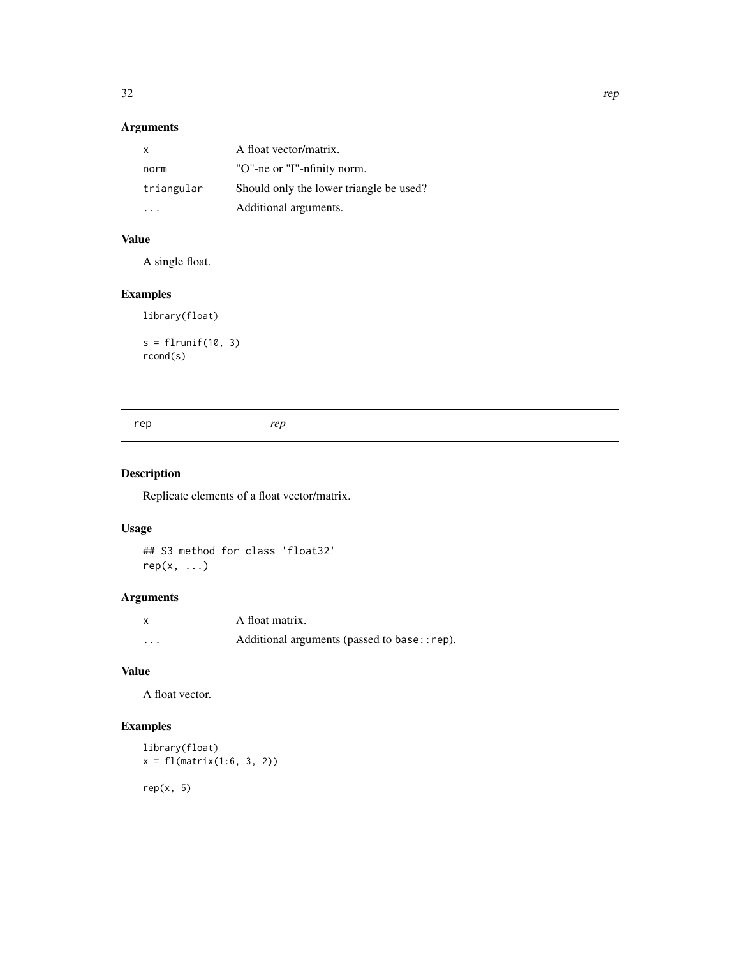# <span id="page-31-0"></span>Arguments

| x          | A float vector/matrix.                  |
|------------|-----------------------------------------|
| norm       | "O"-ne or "I"-nfinity norm.             |
| triangular | Should only the lower triangle be used? |
|            | Additional arguments.                   |

# Value

A single float.

# Examples

library(float)

```
s = flrunif(10, 3)rcond(s)
```
# Description

Replicate elements of a float vector/matrix.

# Usage

## S3 method for class 'float32'  $rep(x, \ldots)$ 

# Arguments

| x        | A float matrix.                              |
|----------|----------------------------------------------|
| $\cdots$ | Additional arguments (passed to base:: rep). |

# Value

A float vector.

# Examples

```
library(float)
x = f1(matrix(1:6, 3, 2))rep(x, 5)
```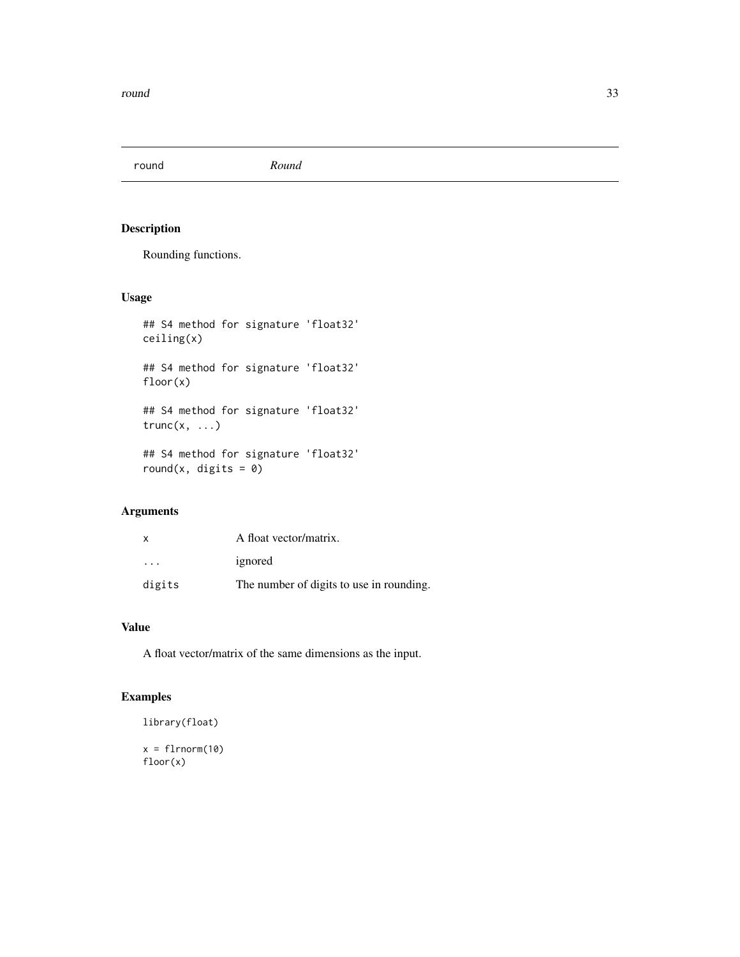<span id="page-32-0"></span>round *Round*

### Description

Rounding functions.

### Usage

```
## S4 method for signature 'float32'
ceiling(x)
## S4 method for signature 'float32'
floor(x)
## S4 method for signature 'float32'
trunc(x, \ldots)## S4 method for signature 'float32'
round(x, digits = 0)
```
# Arguments

| x                       | A float vector/matrix.                   |
|-------------------------|------------------------------------------|
| $\cdot$ $\cdot$ $\cdot$ | ignored                                  |
| digits                  | The number of digits to use in rounding. |

# Value

A float vector/matrix of the same dimensions as the input.

## Examples

library(float)

 $x = \text{flmorm}(10)$ floor(x)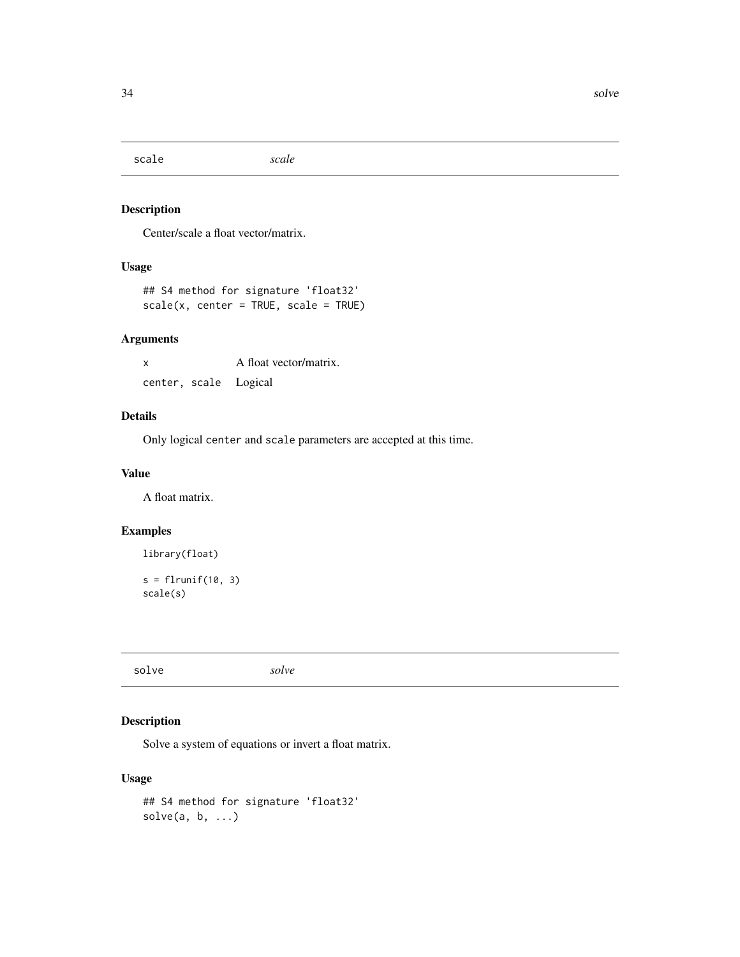<span id="page-33-0"></span>scale *scale*

### Description

Center/scale a float vector/matrix.

# Usage

```
## S4 method for signature 'float32'
scale(x, center = TRUE, scale = TRUE)
```
### Arguments

| x                     | A float vector/matrix. |
|-----------------------|------------------------|
| center, scale Logical |                        |

# Details

Only logical center and scale parameters are accepted at this time.

# Value

A float matrix.

# Examples

library(float)

 $s = flrunif(10, 3)$ scale(s)

solve *solve*

# Description

Solve a system of equations or invert a float matrix.

```
## S4 method for signature 'float32'
solve(a, b, ...)
```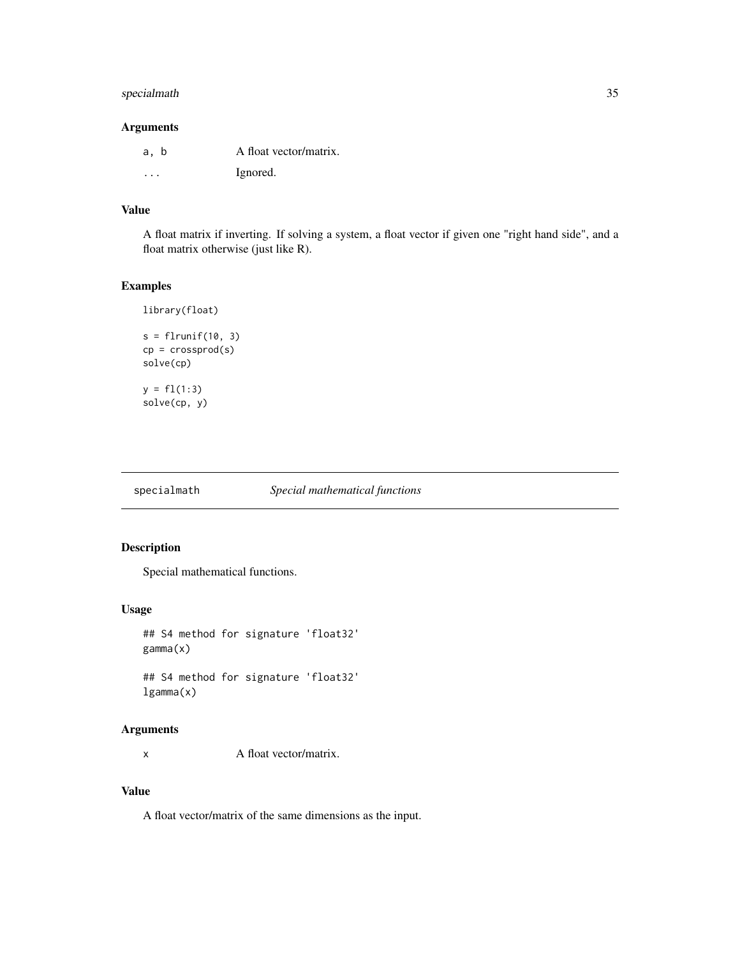### <span id="page-34-0"></span>specialmath 35

#### Arguments

| a, b | A float vector/matrix. |
|------|------------------------|
| .    | Ignored.               |

#### Value

A float matrix if inverting. If solving a system, a float vector if given one "right hand side", and a float matrix otherwise (just like R).

# Examples

```
library(float)
```

```
s = flrunif(10, 3)cp = crossprod(s)solve(cp)
y = f1(1:3)solve(cp, y)
```

| specialmath | Special mathematical functions |  |
|-------------|--------------------------------|--|
|             |                                |  |

# Description

Special mathematical functions.

#### Usage

```
## S4 method for signature 'float32'
gamma(x)
```
## S4 method for signature 'float32' lgamma(x)

#### Arguments

x A float vector/matrix.

# Value

A float vector/matrix of the same dimensions as the input.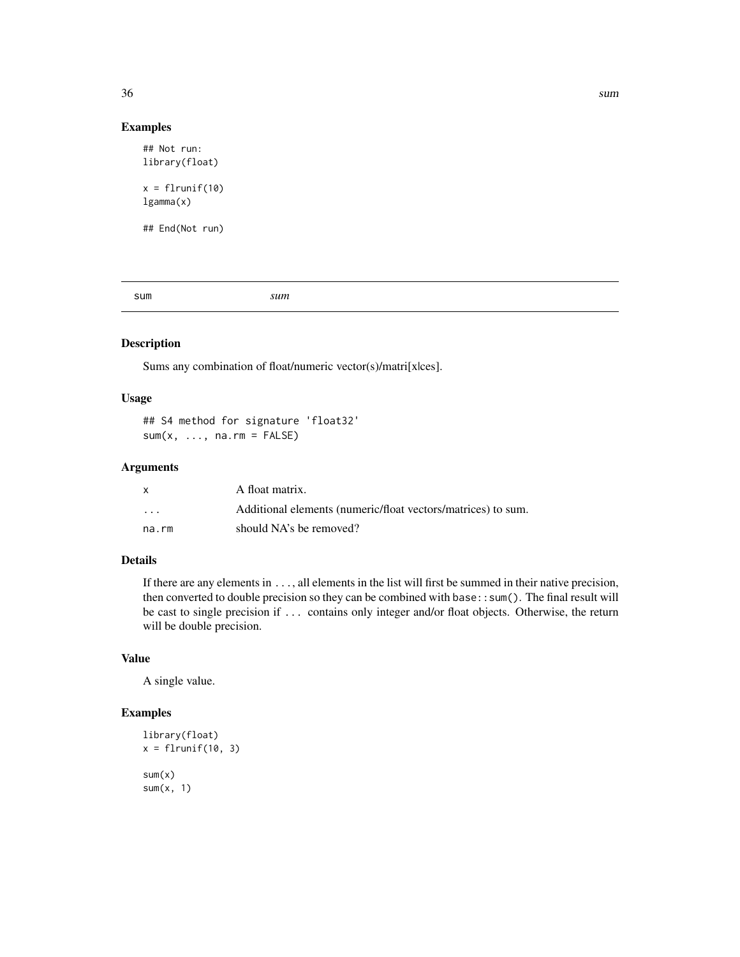<span id="page-35-0"></span>

#### Examples

```
## Not run:
library(float)
x = flrunif(10)lgamma(x)
## End(Not run)
```
sum *sum*

#### Description

Sums any combination of float/numeric vector(s)/matri[x|ces].

#### Usage

## S4 method for signature 'float32'  $sum(x, ..., na.rm = FALSE)$ 

#### Arguments

|                      | A float matrix.                                              |
|----------------------|--------------------------------------------------------------|
| $\ddot{\phantom{0}}$ | Additional elements (numeric/float vectors/matrices) to sum. |
| na.rm                | should NA's be removed?                                      |

### Details

If there are any elements in ..., all elements in the list will first be summed in their native precision, then converted to double precision so they can be combined with base::sum(). The final result will be cast to single precision if ... contains only integer and/or float objects. Otherwise, the return will be double precision.

#### Value

A single value.

# Examples

```
library(float)
x = flrunif(10, 3)sum(x)sum(x, 1)
```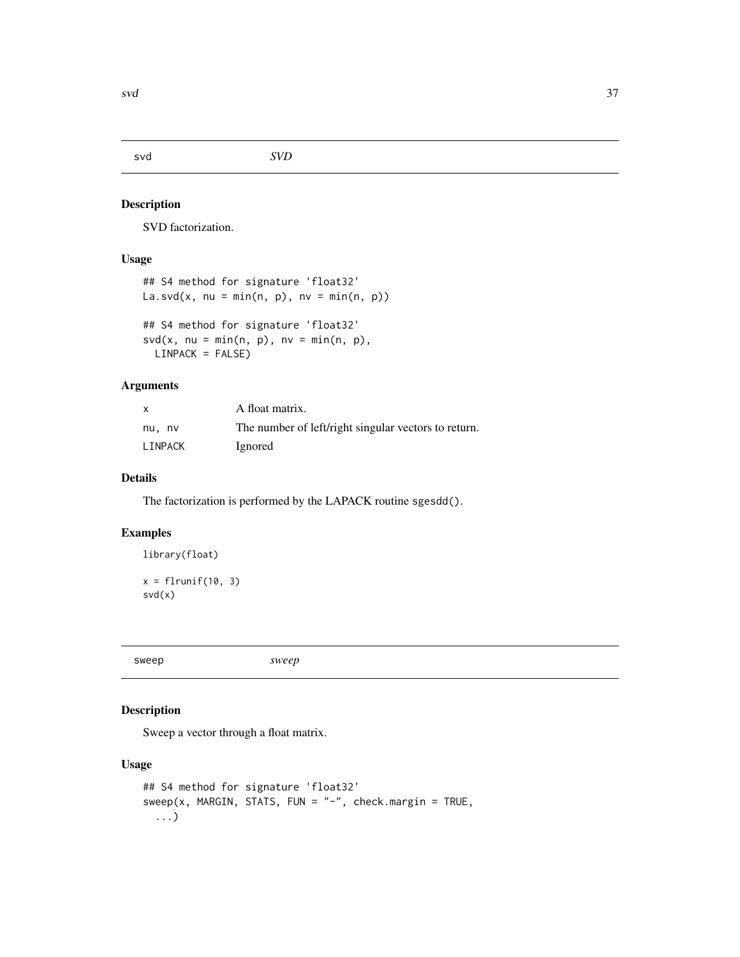<span id="page-36-0"></span>svd *SVD*

#### Description

SVD factorization.

# Usage

```
## S4 method for signature 'float32'
La.svd(x, nu = min(n, p), nv = min(n, p))
## S4 method for signature 'float32'
svd(x, nu = min(n, p), nv = min(n, p),LINPACK = FALSE)
```
#### Arguments

| x       | A float matrix.                                      |
|---------|------------------------------------------------------|
| nu, nv  | The number of left/right singular vectors to return. |
| LINPACK | Ignored                                              |

#### Details

The factorization is performed by the LAPACK routine sgesdd().

#### Examples

```
library(float)
```
 $x = \text{flrunif}(10, 3)$ svd(x)

sweep *sweep*

### Description

Sweep a vector through a float matrix.

```
## S4 method for signature 'float32'
sweep(x, MARGIN, STATS, FUN = "-", check.margin = TRUE,...)
```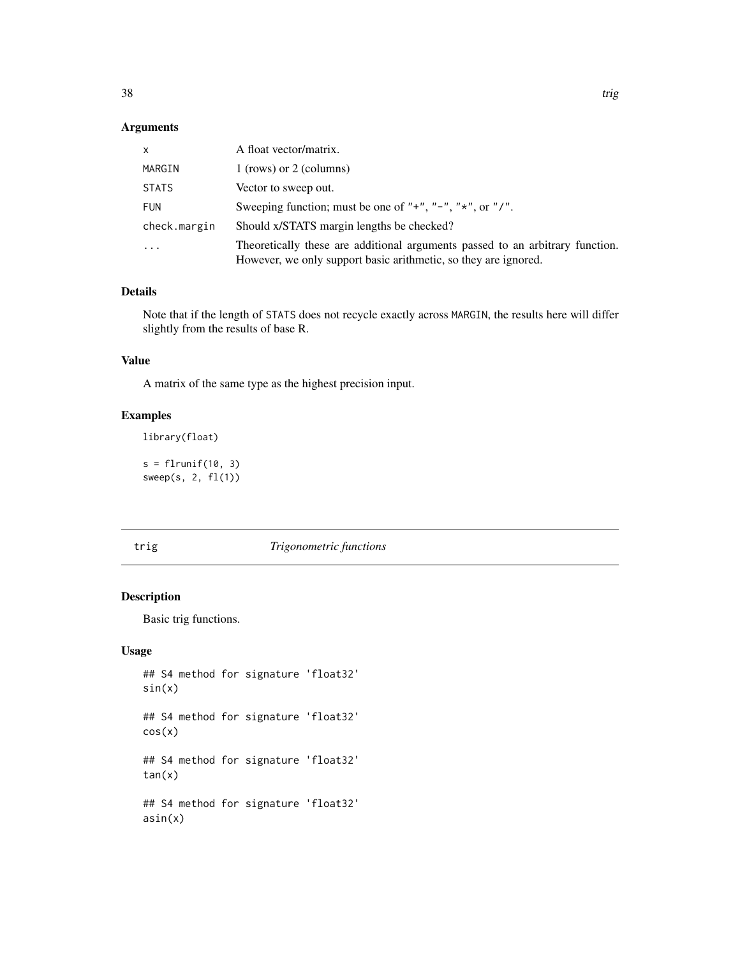# <span id="page-37-0"></span>Arguments

| X            | A float vector/matrix.                                                                                                                           |
|--------------|--------------------------------------------------------------------------------------------------------------------------------------------------|
| MARGIN       | 1 (rows) or 2 (columns)                                                                                                                          |
| <b>STATS</b> | Vector to sweep out.                                                                                                                             |
| <b>FUN</b>   | Sweeping function; must be one of "+", "-", " $\star$ ", or "/".                                                                                 |
| check.margin | Should x/STATS margin lengths be checked?                                                                                                        |
| $\cdot$      | Theoretically these are additional arguments passed to an arbitrary function.<br>However, we only support basic arithmetic, so they are ignored. |

### Details

Note that if the length of STATS does not recycle exactly across MARGIN, the results here will differ slightly from the results of base R.

#### Value

A matrix of the same type as the highest precision input.

# Examples

library(float)

 $s = flrunif(10, 3)$ sweep(s, 2, fl(1))

trig *Trigonometric functions*

### Description

Basic trig functions.

```
## S4 method for signature 'float32'
sin(x)
## S4 method for signature 'float32'
cos(x)
## S4 method for signature 'float32'
tan(x)## S4 method for signature 'float32'
asin(x)
```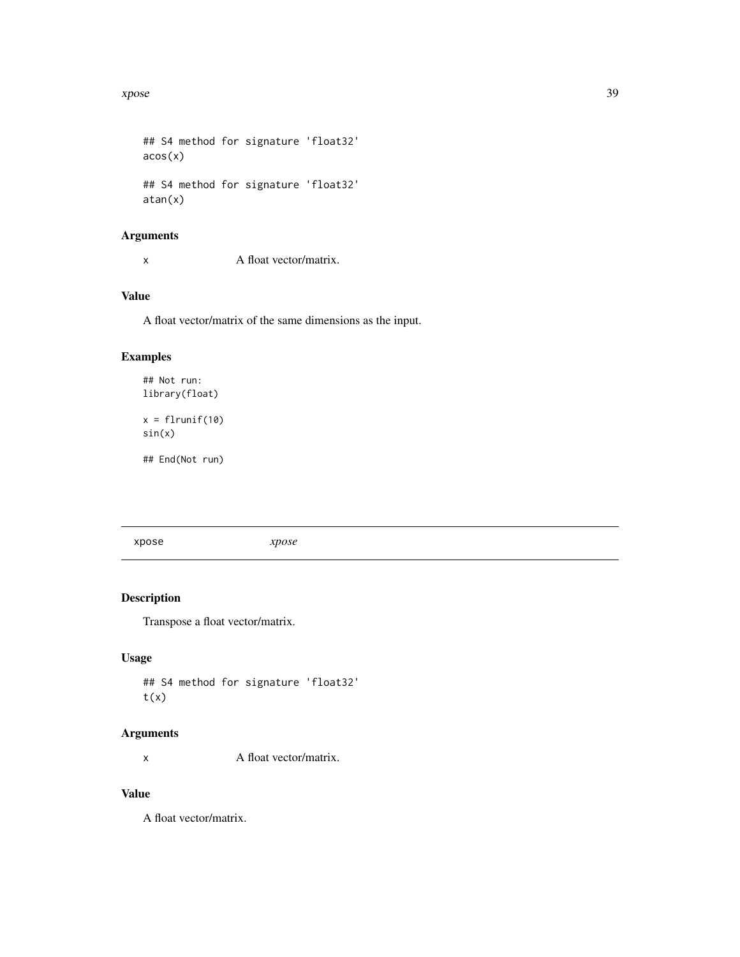#### <span id="page-38-0"></span>xpose 39

## S4 method for signature 'float32'  $acos(x)$ ## S4 method for signature 'float32' atan(x)

# Arguments

x A float vector/matrix.

# Value

A float vector/matrix of the same dimensions as the input.

### Examples

```
## Not run:
library(float)
x = flrunif(10)sin(x)
```
## End(Not run)

xpose *xpose*

# Description

Transpose a float vector/matrix.

#### Usage

```
## S4 method for signature 'float32'
t(x)
```
#### Arguments

x A float vector/matrix.

# Value

A float vector/matrix.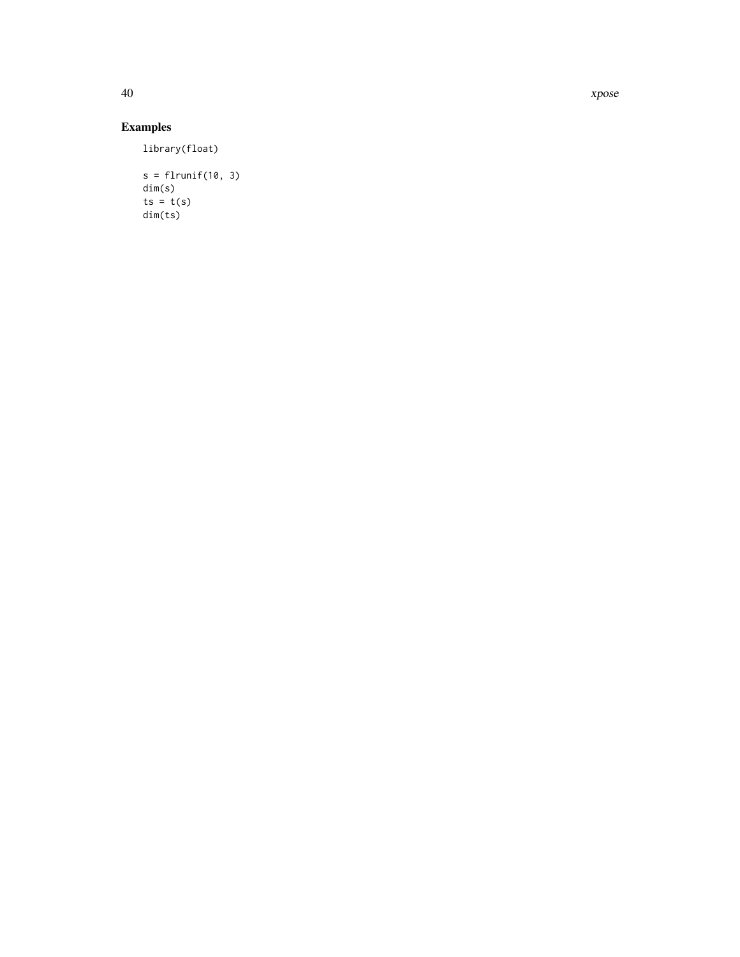40 xpose

# Examples

library(float)

```
s = flrunif(10, 3)dim(s)
ts = t(s)dim(ts)
```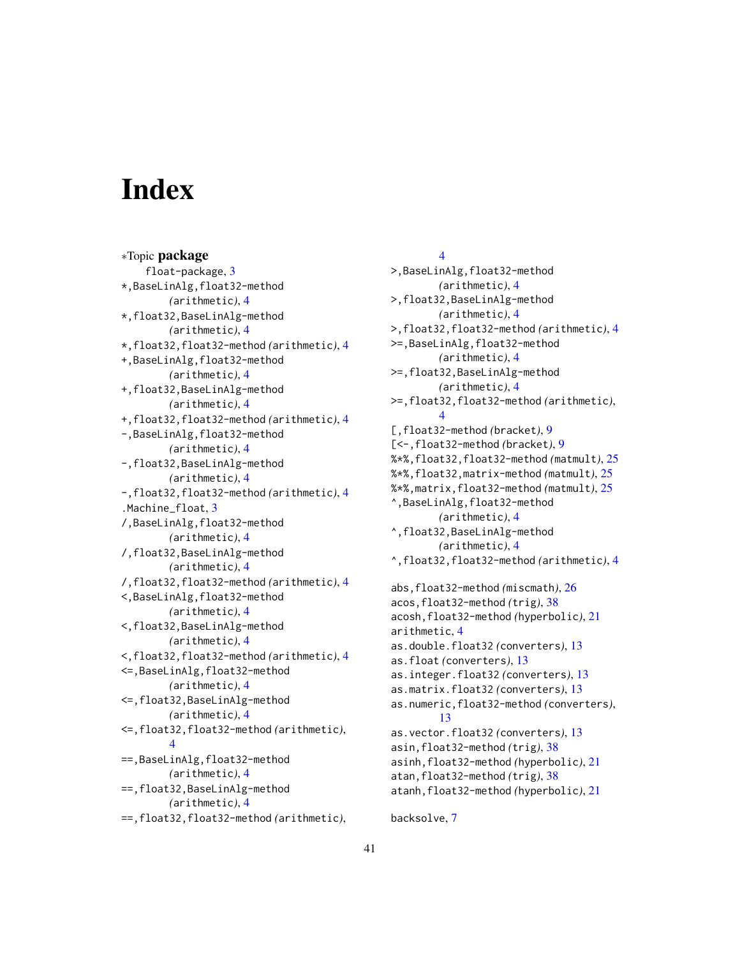# <span id="page-40-0"></span>**Index**

∗Topic package float-package, [3](#page-2-0) \*,BaseLinAlg,float32-method *(*arithmetic*)*, [4](#page-3-0) \*,float32,BaseLinAlg-method *(*arithmetic*)*, [4](#page-3-0) \*,float32,float32-method *(*arithmetic*)*, [4](#page-3-0) +,BaseLinAlg,float32-method *(*arithmetic*)*, [4](#page-3-0) +,float32,BaseLinAlg-method *(*arithmetic*)*, [4](#page-3-0) +,float32,float32-method *(*arithmetic*)*, [4](#page-3-0) -,BaseLinAlg,float32-method *(*arithmetic*)*, [4](#page-3-0) -,float32,BaseLinAlg-method *(*arithmetic*)*, [4](#page-3-0) -,float32,float32-method *(*arithmetic*)*, [4](#page-3-0) .Machine\_float, [3](#page-2-0) /,BaseLinAlg,float32-method *(*arithmetic*)*, [4](#page-3-0) /,float32,BaseLinAlg-method *(*arithmetic*)*, [4](#page-3-0) /,float32,float32-method *(*arithmetic*)*, [4](#page-3-0) <,BaseLinAlg,float32-method *(*arithmetic*)*, [4](#page-3-0) <,float32,BaseLinAlg-method *(*arithmetic*)*, [4](#page-3-0) <,float32,float32-method *(*arithmetic*)*, [4](#page-3-0) <=,BaseLinAlg,float32-method *(*arithmetic*)*, [4](#page-3-0) <=,float32,BaseLinAlg-method *(*arithmetic*)*, [4](#page-3-0) <=,float32,float32-method *(*arithmetic*)*, [4](#page-3-0) ==,BaseLinAlg,float32-method *(*arithmetic*)*, [4](#page-3-0) ==,float32,BaseLinAlg-method *(*arithmetic*)*, [4](#page-3-0) ==,float32,float32-method *(*arithmetic*)*,

#### [4](#page-3-0)

>,BaseLinAlg,float32-method *(*arithmetic*)*, [4](#page-3-0) >,float32,BaseLinAlg-method *(*arithmetic*)*, [4](#page-3-0) >,float32,float32-method *(*arithmetic*)*, [4](#page-3-0) >=,BaseLinAlg,float32-method *(*arithmetic*)*, [4](#page-3-0) >=,float32,BaseLinAlg-method *(*arithmetic*)*, [4](#page-3-0) >=,float32,float32-method *(*arithmetic*)*, [4](#page-3-0) [,float32-method *(*bracket*)*, [9](#page-8-0) [<-,float32-method *(*bracket*)*, [9](#page-8-0) %\*%,float32,float32-method *(*matmult*)*, [25](#page-24-0) %\*%,float32,matrix-method *(*matmult*)*, [25](#page-24-0) %\*%,matrix,float32-method *(*matmult*)*, [25](#page-24-0) ^,BaseLinAlg,float32-method *(*arithmetic*)*, [4](#page-3-0) ^,float32,BaseLinAlg-method *(*arithmetic*)*, [4](#page-3-0) ^,float32,float32-method *(*arithmetic*)*, [4](#page-3-0) abs,float32-method *(*miscmath*)*, [26](#page-25-0) acos,float32-method *(*trig*)*, [38](#page-37-0) acosh,float32-method *(*hyperbolic*)*, [21](#page-20-0) arithmetic, [4](#page-3-0) as.double.float32 *(*converters*)*, [13](#page-12-0) as.float *(*converters*)*, [13](#page-12-0) as.integer.float32 *(*converters*)*, [13](#page-12-0) as.matrix.float32 *(*converters*)*, [13](#page-12-0) as.numeric,float32-method *(*converters*)*, [13](#page-12-0) as.vector.float32 *(*converters*)*, [13](#page-12-0) asin,float32-method *(*trig*)*, [38](#page-37-0) asinh,float32-method *(*hyperbolic*)*, [21](#page-20-0) atan,float32-method *(*trig*)*, [38](#page-37-0) atanh,float32-method *(*hyperbolic*)*, [21](#page-20-0)

backsolve, [7](#page-6-0)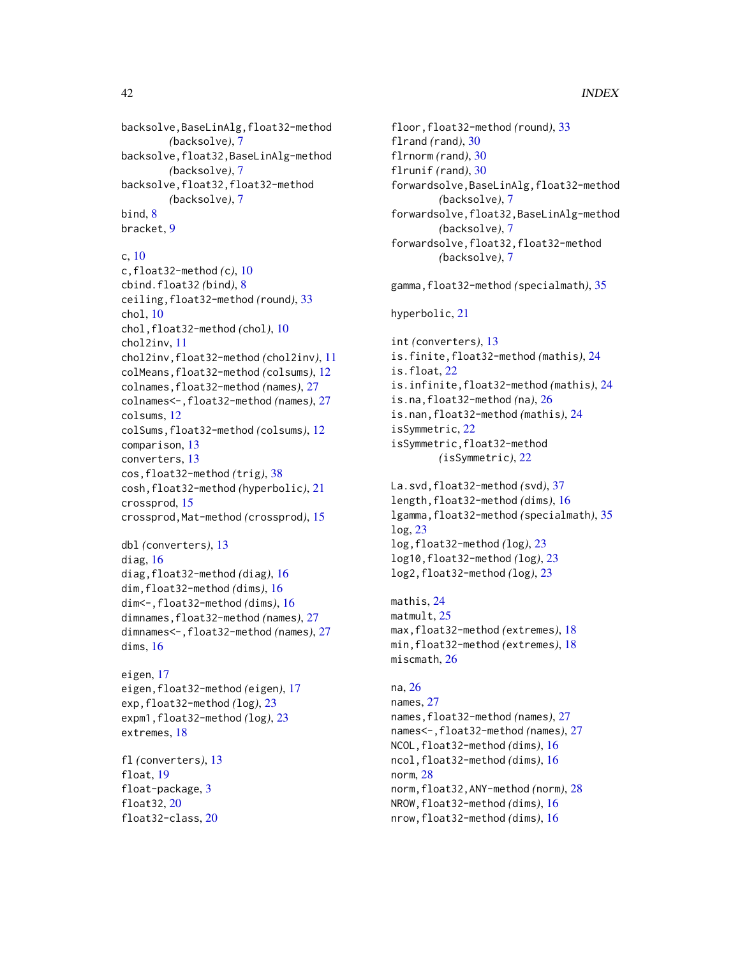backsolve,BaseLinAlg,float32-method *(*backsolve*)*, [7](#page-6-0) backsolve,float32,BaseLinAlg-method *(*backsolve*)*, [7](#page-6-0) backsolve,float32,float32-method *(*backsolve*)*, [7](#page-6-0) bind, [8](#page-7-0) bracket, [9](#page-8-0)

#### c, [10](#page-9-0)

c,float32-method *(*c*)*, [10](#page-9-0) cbind.float32 *(*bind*)*, [8](#page-7-0) ceiling,float32-method *(*round*)*, [33](#page-32-0) chol, [10](#page-9-0) chol,float32-method *(*chol*)*, [10](#page-9-0) chol2inv, [11](#page-10-0) chol2inv,float32-method *(*chol2inv*)*, [11](#page-10-0) colMeans,float32-method *(*colsums*)*, [12](#page-11-0) colnames,float32-method *(*names*)*, [27](#page-26-0) colnames<-,float32-method *(*names*)*, [27](#page-26-0) colsums, [12](#page-11-0) colSums,float32-method *(*colsums*)*, [12](#page-11-0) comparison, [13](#page-12-0) converters, [13](#page-12-0) cos,float32-method *(*trig*)*, [38](#page-37-0) cosh,float32-method *(*hyperbolic*)*, [21](#page-20-0) crossprod, [15](#page-14-0) crossprod,Mat-method *(*crossprod*)*, [15](#page-14-0)

```
dbl (converters), 13
diag, 16
diag,float32-method (diag), 16
dim,float32-method (dims), 16
dim<-,float32-method (dims), 16
dimnames,float32-method (names), 27
dimnames<-,float32-method (names), 27
dims, 16
```

```
eigen, 17
eigen,float32-method (eigen), 17
exp,float32-method (log), 23
expm1,float32-method (log), 23
extremes, 18
```

```
fl (converters), 13
float, 19
float-package, 3
float32, 20
float32-class, 20
```
floor,float32-method *(*round*)*, [33](#page-32-0) flrand *(*rand*)*, [30](#page-29-0) flrnorm *(*rand*)*, [30](#page-29-0) flrunif *(*rand*)*, [30](#page-29-0) forwardsolve,BaseLinAlg,float32-method *(*backsolve*)*, [7](#page-6-0) forwardsolve,float32,BaseLinAlg-method *(*backsolve*)*, [7](#page-6-0) forwardsolve,float32,float32-method *(*backsolve*)*, [7](#page-6-0) gamma,float32-method *(*specialmath*)*, [35](#page-34-0) hyperbolic, [21](#page-20-0) int *(*converters*)*, [13](#page-12-0) is.finite,float32-method *(*mathis*)*, [24](#page-23-0) is.float, [22](#page-21-0) is.infinite,float32-method *(*mathis*)*, [24](#page-23-0) is.na,float32-method *(*na*)*, [26](#page-25-0) is.nan,float32-method *(*mathis*)*, [24](#page-23-0) isSymmetric, [22](#page-21-0) isSymmetric,float32-method *(*isSymmetric*)*, [22](#page-21-0)

```
La.svd,float32-method (svd), 37
length,float32-method (dims), 16
lgamma,float32-method (specialmath), 35
log, 23
log,float32-method (log), 23
log10,float32-method (log), 23
log2,float32-method (log), 23
```
mathis, [24](#page-23-0) matmult, [25](#page-24-0) max,float32-method *(*extremes*)*, [18](#page-17-0) min,float32-method *(*extremes*)*, [18](#page-17-0) miscmath, [26](#page-25-0)

#### na, [26](#page-25-0)

names, [27](#page-26-0) names,float32-method *(*names*)*, [27](#page-26-0) names<-,float32-method *(*names*)*, [27](#page-26-0) NCOL,float32-method *(*dims*)*, [16](#page-15-0) ncol,float32-method *(*dims*)*, [16](#page-15-0) norm, [28](#page-27-0) norm,float32,ANY-method *(*norm*)*, [28](#page-27-0) NROW,float32-method *(*dims*)*, [16](#page-15-0) nrow,float32-method *(*dims*)*, [16](#page-15-0)